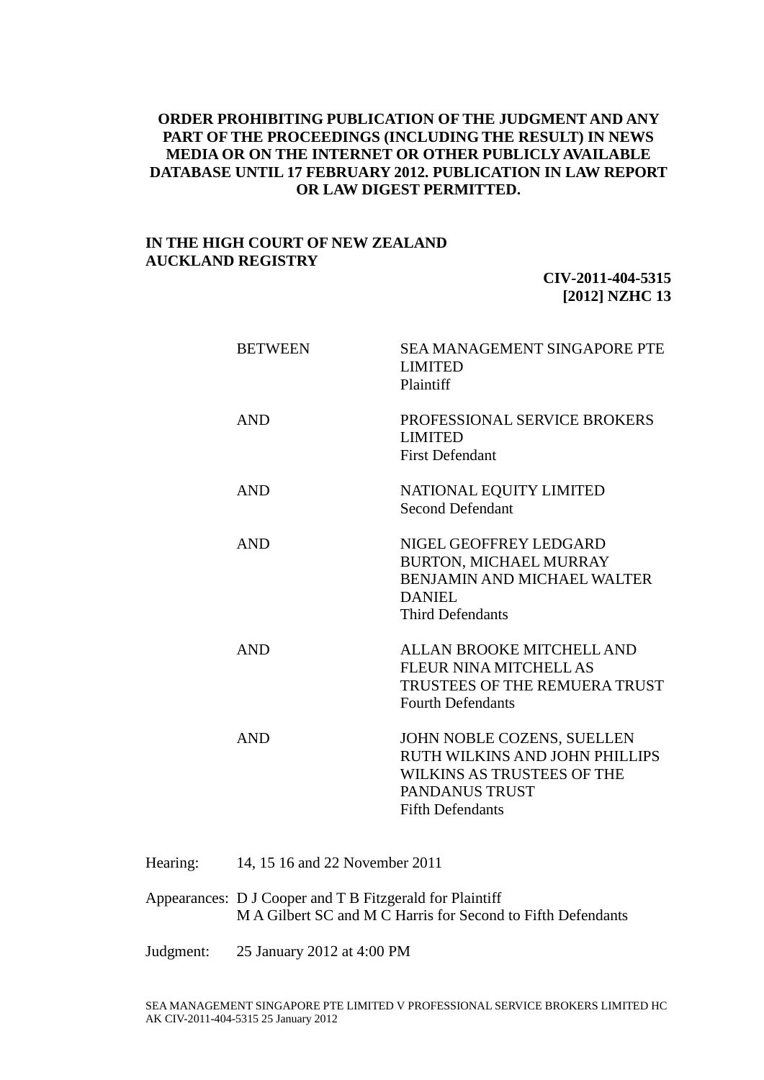## **ORDER PROHIBITING PUBLICATION OF THE JUDGMENT AND ANY PART OF THE PROCEEDINGS (INCLUDING THE RESULT) IN NEWS MEDIA OR ON THE INTERNET OR OTHER PUBLICLY AVAILABLE DATABASE UNTIL 17 FEBRUARY 2012. PUBLICATION IN LAW REPORT OR LAW DIGEST PERMITTED.**

# **IN THE HIGH COURT OF NEW ZEALAND AUCKLAND REGISTRY**

# **CIV-2011-404-5315 [2012] NZHC 13**

| <b>BETWEEN</b> | <b>SEA MANAGEMENT SINGAPORE PTE</b><br><b>LIMITED</b><br>Plaintiff                                                                        |
|----------------|-------------------------------------------------------------------------------------------------------------------------------------------|
| <b>AND</b>     | PROFESSIONAL SERVICE BROKERS<br><b>LIMITED</b><br><b>First Defendant</b>                                                                  |
| <b>AND</b>     | NATIONAL EQUITY LIMITED<br><b>Second Defendant</b>                                                                                        |
| <b>AND</b>     | NIGEL GEOFFREY LEDGARD<br><b>BURTON, MICHAEL MURRAY</b><br><b>BENJAMIN AND MICHAEL WALTER</b><br><b>DANIEL</b><br><b>Third Defendants</b> |
| <b>AND</b>     | ALLAN BROOKE MITCHELL AND<br>FLEUR NINA MITCHELL AS<br>TRUSTEES OF THE REMUERA TRUST<br><b>Fourth Defendants</b>                          |
| <b>AND</b>     | JOHN NOBLE COZENS, SUELLEN<br>RUTH WILKINS AND JOHN PHILLIPS<br>WILKINS AS TRUSTEES OF THE<br>PANDANUS TRUST<br><b>Fifth Defendants</b>   |

Hearing: 14, 15 16 and 22 November 2011

Appearances: D J Cooper and T B Fitzgerald for Plaintiff M A Gilbert SC and M C Harris for Second to Fifth Defendants

Judgment: 25 January 2012 at 4:00 PM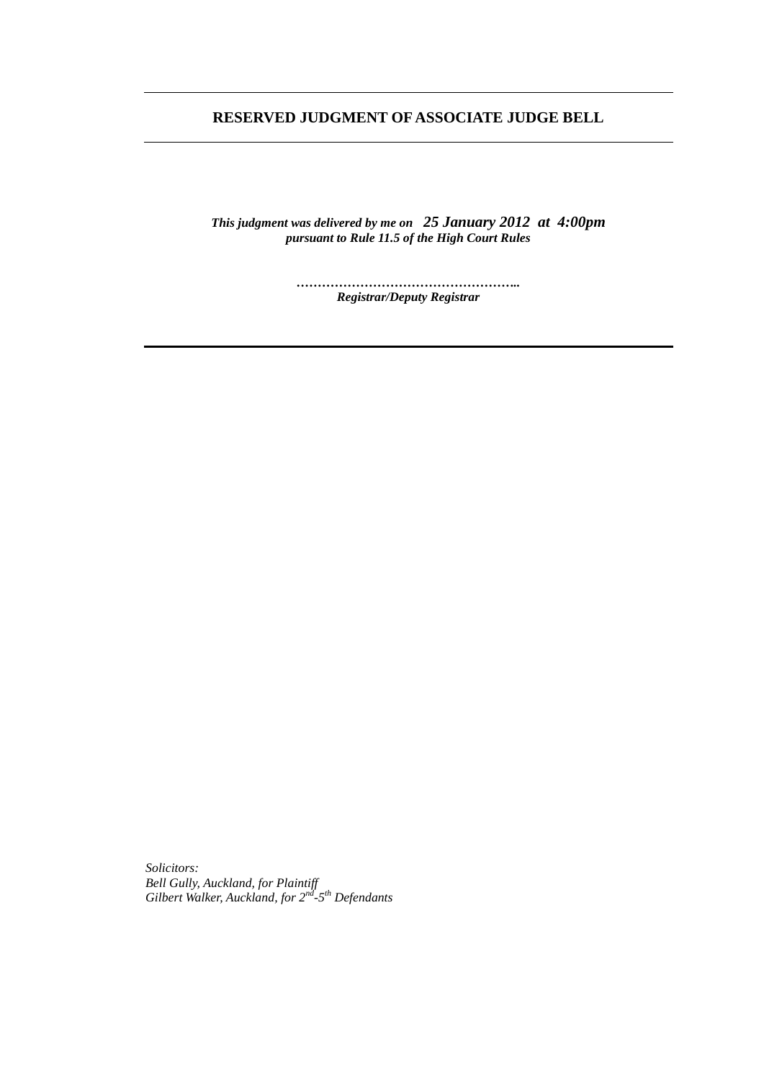## **RESERVED JUDGMENT OF ASSOCIATE JUDGE BELL**

*This judgment was delivered by me on 25 January 2012 at 4:00pm pursuant to Rule 11.5 of the High Court Rules*

> *…………………………………………….. Registrar/Deputy Registrar*

*Solicitors: Bell Gully, Auckland, for Plaintiff Gilbert Walker, Auckland, for 2nd -5 th Defendants*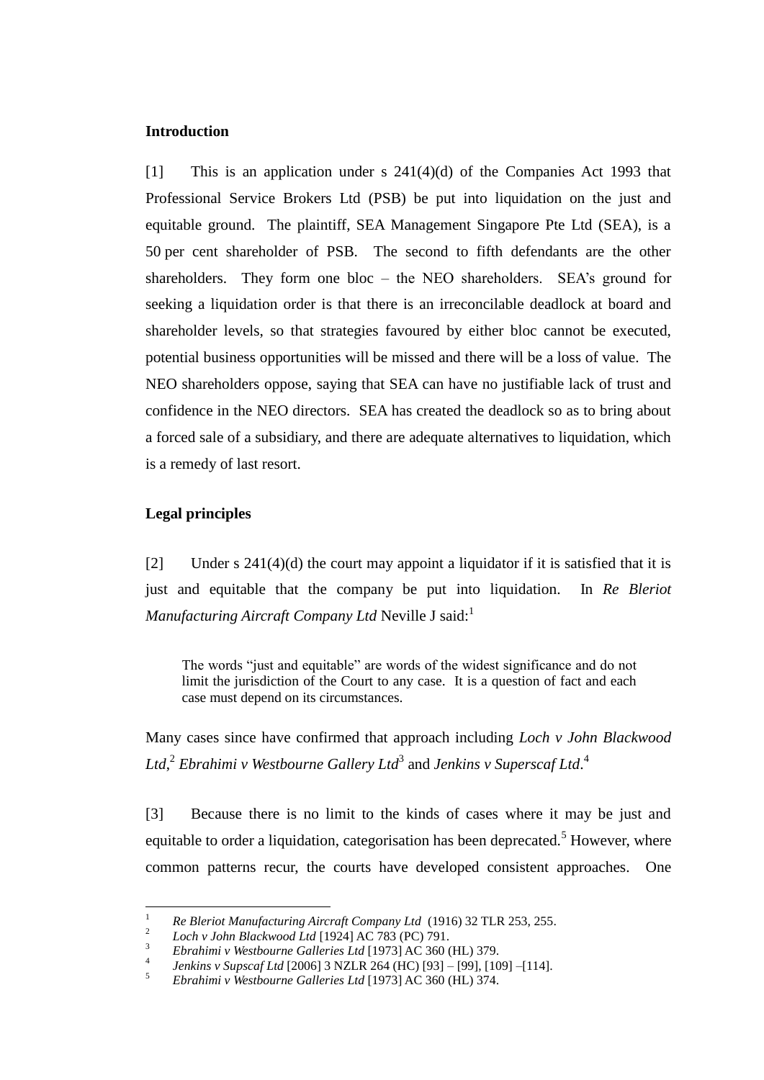#### **Introduction**

[1] This is an application under s 241(4)(d) of the Companies Act 1993 that Professional Service Brokers Ltd (PSB) be put into liquidation on the just and equitable ground. The plaintiff, SEA Management Singapore Pte Ltd (SEA), is a 50 per cent shareholder of PSB. The second to fifth defendants are the other shareholders. They form one bloc – the NEO shareholders. SEA's ground for seeking a liquidation order is that there is an irreconcilable deadlock at board and shareholder levels, so that strategies favoured by either bloc cannot be executed, potential business opportunities will be missed and there will be a loss of value. The NEO shareholders oppose, saying that SEA can have no justifiable lack of trust and confidence in the NEO directors. SEA has created the deadlock so as to bring about a forced sale of a subsidiary, and there are adequate alternatives to liquidation, which is a remedy of last resort.

## **Legal principles**

[2] Under s  $241(4)(d)$  the court may appoint a liquidator if it is satisfied that it is just and equitable that the company be put into liquidation. In *Re Bleriot Manufacturing Aircraft Company Ltd Neville J said:*<sup>1</sup>

The words "just and equitable" are words of the widest significance and do not limit the jurisdiction of the Court to any case. It is a question of fact and each case must depend on its circumstances.

Many cases since have confirmed that approach including *Loch v John Blackwood*  Ltd,<sup>2</sup> Ebrahimi v Westbourne Gallery Ltd<sup>3</sup> and Jenkins v Superscaf Ltd.<sup>4</sup>

[3] Because there is no limit to the kinds of cases where it may be just and equitable to order a liquidation, categorisation has been deprecated.<sup>5</sup> However, where common patterns recur, the courts have developed consistent approaches. One

 $\mathbf{1}$ <sup>1</sup> *Re Bleriot Manufacturing Aircraft Company Ltd* (1916) 32 TLR 253, 255.

<sup>2</sup> *Loch v John Blackwood Ltd* [1924] AC 783 (PC) 791.

<sup>3</sup> *Ebrahimi v Westbourne Galleries Ltd* [1973] AC 360 (HL) 379.

<sup>4</sup> *Jenkins v Supscaf Ltd* [2006] 3 NZLR 264 (HC) [93] – [99], [109] –[114].

<sup>5</sup> *Ebrahimi v Westbourne Galleries Ltd* [1973] AC 360 (HL) 374.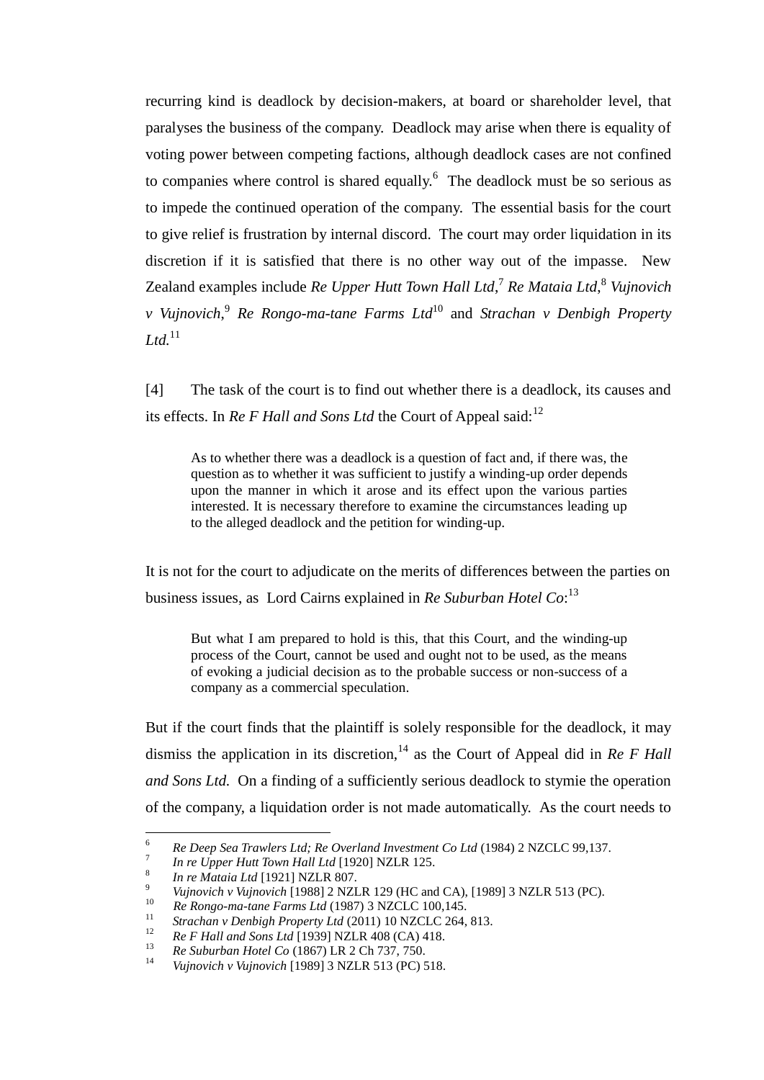recurring kind is deadlock by decision-makers, at board or shareholder level, that paralyses the business of the company. Deadlock may arise when there is equality of voting power between competing factions, although deadlock cases are not confined to companies where control is shared equally. $6$  The deadlock must be so serious as to impede the continued operation of the company. The essential basis for the court to give relief is frustration by internal discord. The court may order liquidation in its discretion if it is satisfied that there is no other way out of the impasse. New Zealand examples include *Re Upper Hutt Town Hall Ltd*, 7 *Re Mataia Ltd*, 8 *Vujnovich v Vujnovich*, 9 *Re Rongo-ma-tane Farms Ltd*<sup>10</sup> and *Strachan v Denbigh Property Ltd.*<sup>11</sup>

[4] The task of the court is to find out whether there is a deadlock, its causes and its effects. In *Re F Hall and Sons Ltd* the Court of Appeal said:<sup>12</sup>

As to whether there was a deadlock is a question of fact and, if there was, the question as to whether it was sufficient to justify a winding-up order depends upon the manner in which it arose and its effect upon the various parties interested. It is necessary therefore to examine the circumstances leading up to the alleged deadlock and the petition for winding-up.

It is not for the court to adjudicate on the merits of differences between the parties on business issues, as Lord Cairns explained in *Re Suburban Hotel Co*: 13

But what I am prepared to hold is this, that this Court, and the winding-up process of the Court, cannot be used and ought not to be used, as the means of evoking a judicial decision as to the probable success or non-success of a company as a commercial speculation.

But if the court finds that the plaintiff is solely responsible for the deadlock, it may dismiss the application in its discretion,<sup>14</sup> as the Court of Appeal did in *Re F Hall and Sons Ltd.* On a finding of a sufficiently serious deadlock to stymie the operation of the company, a liquidation order is not made automatically. As the court needs to

<sup>6</sup> <sup>6</sup> *Re Deep Sea Trawlers Ltd; Re Overland Investment Co Ltd* (1984) 2 NZCLC 99,137.

<sup>7</sup> *In re Upper Hutt Town Hall Ltd* [1920] NZLR 125.

<sup>8</sup> *In re Mataia Ltd* [1921] NZLR 807.

<sup>9</sup> *Vujnovich v Vujnovich* [1988] 2 NZLR 129 (HC and CA), [1989] 3 NZLR 513 (PC).

<sup>10</sup> *Re Rongo-ma-tane Farms Ltd* (1987) 3 NZCLC 100,145.

<sup>11</sup> *Strachan v Denbigh Property Ltd* (2011) 10 NZCLC 264, 813.

<sup>&</sup>lt;sup>12</sup> *Re F Hall and Sons Ltd* [1939] NZLR 408 (CA) 418.<br><sup>13</sup> *Re Sylvigher Hotel Co* (1867) J B 2 Ch 727, 750

<sup>13</sup> *Re Suburban Hotel Co* (1867) LR 2 Ch 737, 750.

<sup>14</sup> *Vujnovich v Vujnovich* [1989] 3 NZLR 513 (PC) 518.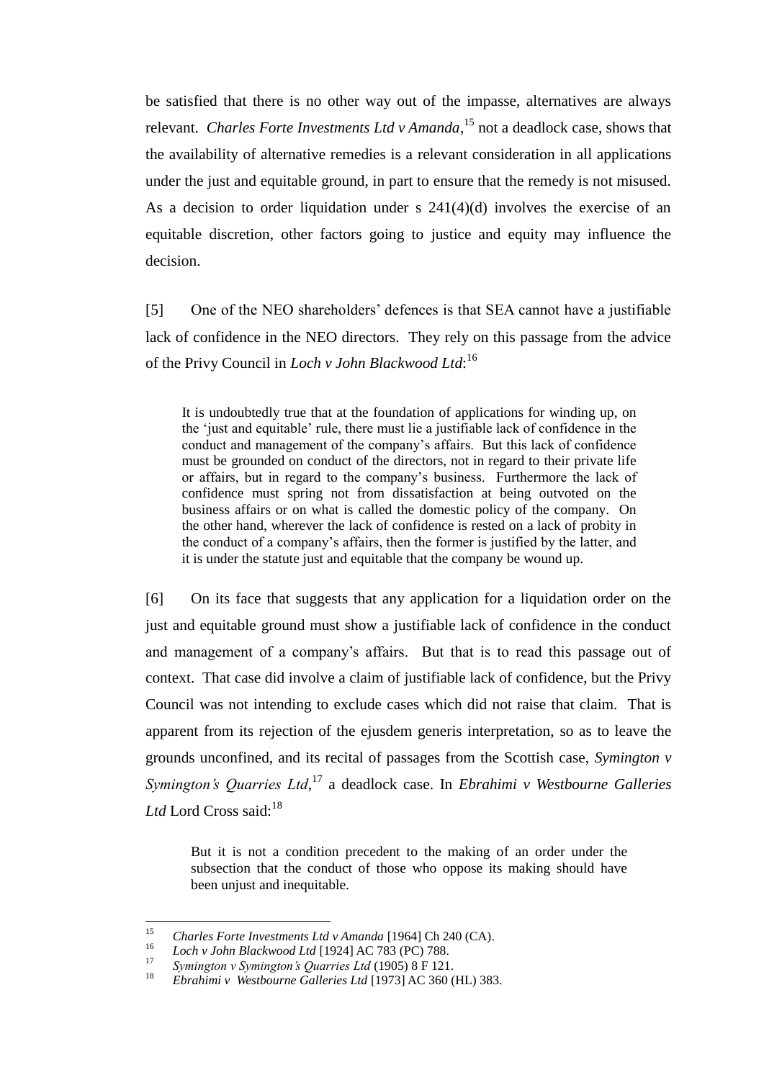be satisfied that there is no other way out of the impasse, alternatives are always relevant. *Charles Forte Investments Ltd v Amanda*, <sup>15</sup> not a deadlock case, shows that the availability of alternative remedies is a relevant consideration in all applications under the just and equitable ground, in part to ensure that the remedy is not misused. As a decision to order liquidation under s 241(4)(d) involves the exercise of an equitable discretion, other factors going to justice and equity may influence the decision.

[5] One of the NEO shareholders" defences is that SEA cannot have a justifiable lack of confidence in the NEO directors. They rely on this passage from the advice of the Privy Council in *Loch v John Blackwood Ltd*: 16

It is undoubtedly true that at the foundation of applications for winding up, on the "just and equitable" rule, there must lie a justifiable lack of confidence in the conduct and management of the company"s affairs. But this lack of confidence must be grounded on conduct of the directors, not in regard to their private life or affairs, but in regard to the company"s business. Furthermore the lack of confidence must spring not from dissatisfaction at being outvoted on the business affairs or on what is called the domestic policy of the company. On the other hand, wherever the lack of confidence is rested on a lack of probity in the conduct of a company"s affairs, then the former is justified by the latter, and it is under the statute just and equitable that the company be wound up.

[6] On its face that suggests that any application for a liquidation order on the just and equitable ground must show a justifiable lack of confidence in the conduct and management of a company's affairs. But that is to read this passage out of context. That case did involve a claim of justifiable lack of confidence, but the Privy Council was not intending to exclude cases which did not raise that claim. That is apparent from its rejection of the ejusdem generis interpretation, so as to leave the grounds unconfined, and its recital of passages from the Scottish case, *Symington v Symington's Quarries Ltd*, <sup>17</sup> a deadlock case. In *Ebrahimi v Westbourne Galleries*  Ltd Lord Cross said:<sup>18</sup>

But it is not a condition precedent to the making of an order under the subsection that the conduct of those who oppose its making should have been unjust and inequitable.

 $15$ <sup>15</sup> *Charles Forte Investments Ltd v Amanda* [1964] Ch 240 (CA).

<sup>16</sup> *Loch v John Blackwood Ltd* [1924] AC 783 (PC) 788.

<sup>&</sup>lt;sup>17</sup> Symington v Symington's Quarries Ltd (1905) 8 F 121.<br><sup>18</sup> Ekseptimi v Westhoums Gallerias Ltd (1973) AG 260 (

<sup>18</sup> *Ebrahimi v Westbourne Galleries Ltd* [1973] AC 360 (HL) 383.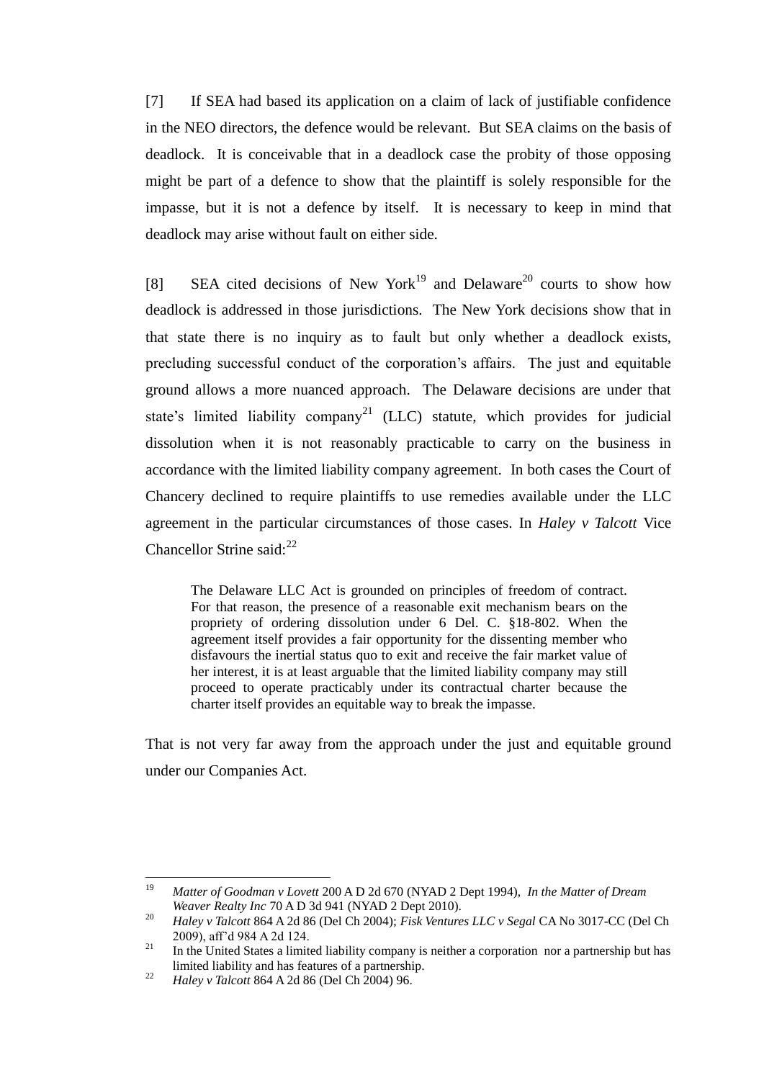[7] If SEA had based its application on a claim of lack of justifiable confidence in the NEO directors, the defence would be relevant. But SEA claims on the basis of deadlock. It is conceivable that in a deadlock case the probity of those opposing might be part of a defence to show that the plaintiff is solely responsible for the impasse, but it is not a defence by itself. It is necessary to keep in mind that deadlock may arise without fault on either side.

[8] SEA cited decisions of New York<sup>19</sup> and Delaware<sup>20</sup> courts to show how deadlock is addressed in those jurisdictions. The New York decisions show that in that state there is no inquiry as to fault but only whether a deadlock exists, precluding successful conduct of the corporation"s affairs. The just and equitable ground allows a more nuanced approach. The Delaware decisions are under that state's limited liability company<sup>21</sup> (LLC) statute, which provides for judicial dissolution when it is not reasonably practicable to carry on the business in accordance with the limited liability company agreement. In both cases the Court of Chancery declined to require plaintiffs to use remedies available under the LLC agreement in the particular circumstances of those cases. In *Haley v Talcott* Vice Chancellor Strine said: $^{22}$ 

The Delaware LLC Act is grounded on principles of freedom of contract. For that reason, the presence of a reasonable exit mechanism bears on the propriety of ordering dissolution under 6 Del. C. §18-802. When the agreement itself provides a fair opportunity for the dissenting member who disfavours the inertial status quo to exit and receive the fair market value of her interest, it is at least arguable that the limited liability company may still proceed to operate practicably under its contractual charter because the charter itself provides an equitable way to break the impasse.

That is not very far away from the approach under the just and equitable ground under our Companies Act.

<sup>19</sup> <sup>19</sup> *Matter of Goodman v Lovett* 200 A D 2d 670 (NYAD 2 Dept 1994), *In the Matter of Dream Weaver Realty Inc* 70 A D 3d 941 (NYAD 2 Dept 2010).

<sup>20</sup> *Haley v Talcott* 864 A 2d 86 (Del Ch 2004); *Fisk Ventures LLC v Segal* CA No 3017-CC (Del Ch 2009), aff"d 984 A 2d 124.

<sup>&</sup>lt;sup>21</sup> In the United States a limited liability company is neither a corporation nor a partnership but has limited liability and has features of a partnership.

<sup>22</sup> *Haley v Talcott* 864 A 2d 86 (Del Ch 2004) 96.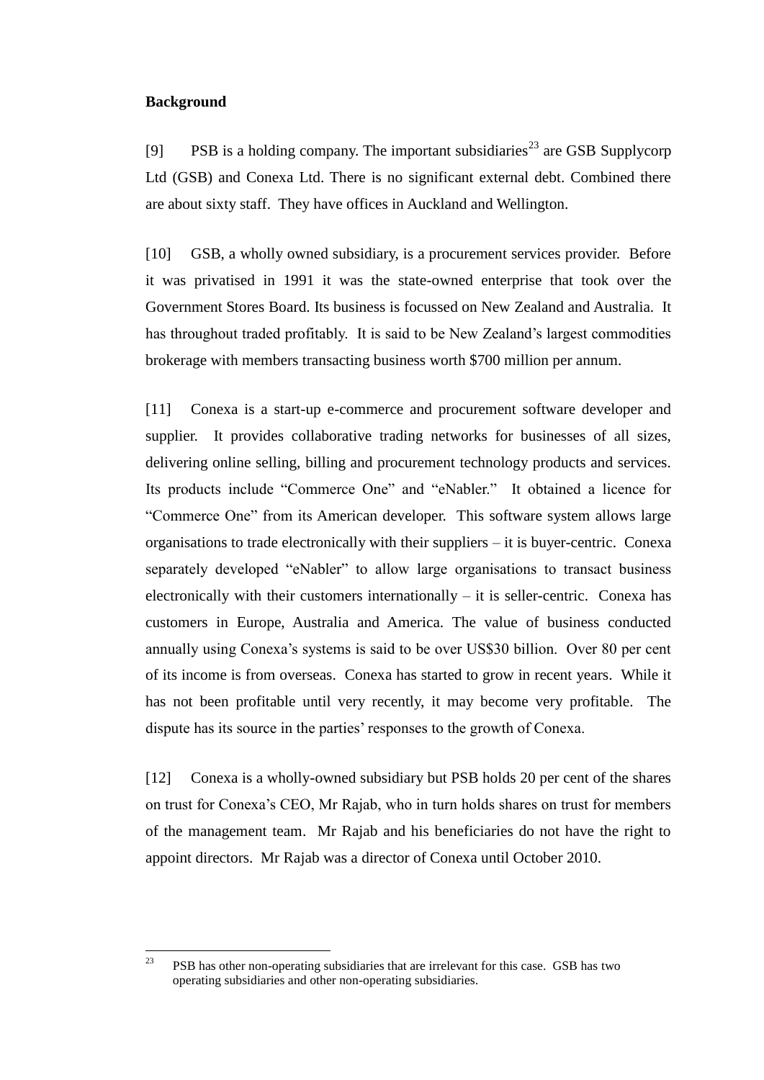## **Background**

[9] PSB is a holding company. The important subsidiaries<sup>23</sup> are GSB Supplycorp Ltd (GSB) and Conexa Ltd. There is no significant external debt. Combined there are about sixty staff. They have offices in Auckland and Wellington.

[10] GSB, a wholly owned subsidiary, is a procurement services provider. Before it was privatised in 1991 it was the state-owned enterprise that took over the Government Stores Board. Its business is focussed on New Zealand and Australia. It has throughout traded profitably. It is said to be New Zealand"s largest commodities brokerage with members transacting business worth \$700 million per annum.

[11] Conexa is a start-up e-commerce and procurement software developer and supplier. It provides collaborative trading networks for businesses of all sizes, delivering online selling, billing and procurement technology products and services. Its products include "Commerce One" and "eNabler." It obtained a licence for "Commerce One" from its American developer. This software system allows large organisations to trade electronically with their suppliers – it is buyer-centric. Conexa separately developed "eNabler" to allow large organisations to transact business electronically with their customers internationally – it is seller-centric. Conexa has customers in Europe, Australia and America. The value of business conducted annually using Conexa's systems is said to be over US\$30 billion. Over 80 per cent of its income is from overseas. Conexa has started to grow in recent years. While it has not been profitable until very recently, it may become very profitable. The dispute has its source in the parties' responses to the growth of Conexa.

[12] Conexa is a wholly-owned subsidiary but PSB holds 20 per cent of the shares on trust for Conexa"s CEO, Mr Rajab, who in turn holds shares on trust for members of the management team. Mr Rajab and his beneficiaries do not have the right to appoint directors. Mr Rajab was a director of Conexa until October 2010.

 $2<sup>3</sup>$ PSB has other non-operating subsidiaries that are irrelevant for this case. GSB has two operating subsidiaries and other non-operating subsidiaries.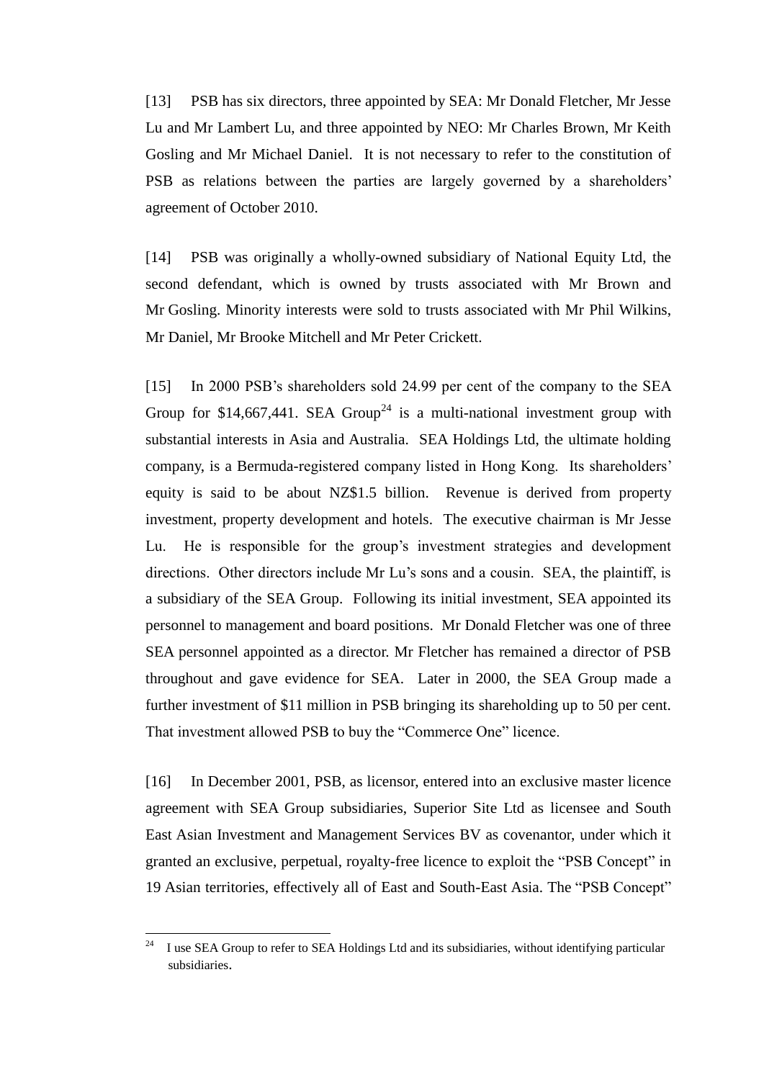[13] PSB has six directors, three appointed by SEA: Mr Donald Fletcher, Mr Jesse Lu and Mr Lambert Lu, and three appointed by NEO: Mr Charles Brown, Mr Keith Gosling and Mr Michael Daniel. It is not necessary to refer to the constitution of PSB as relations between the parties are largely governed by a shareholders' agreement of October 2010.

[14] PSB was originally a wholly-owned subsidiary of National Equity Ltd, the second defendant, which is owned by trusts associated with Mr Brown and Mr Gosling. Minority interests were sold to trusts associated with Mr Phil Wilkins, Mr Daniel, Mr Brooke Mitchell and Mr Peter Crickett.

[15] In 2000 PSB"s shareholders sold 24.99 per cent of the company to the SEA Group for \$14,667,441. SEA Group<sup>24</sup> is a multi-national investment group with substantial interests in Asia and Australia. SEA Holdings Ltd, the ultimate holding company, is a Bermuda-registered company listed in Hong Kong. Its shareholders" equity is said to be about NZ\$1.5 billion. Revenue is derived from property investment, property development and hotels. The executive chairman is Mr Jesse Lu. He is responsible for the group"s investment strategies and development directions. Other directors include Mr Lu"s sons and a cousin. SEA, the plaintiff, is a subsidiary of the SEA Group. Following its initial investment, SEA appointed its personnel to management and board positions. Mr Donald Fletcher was one of three SEA personnel appointed as a director. Mr Fletcher has remained a director of PSB throughout and gave evidence for SEA. Later in 2000, the SEA Group made a further investment of \$11 million in PSB bringing its shareholding up to 50 per cent. That investment allowed PSB to buy the "Commerce One" licence.

[16] In December 2001, PSB, as licensor, entered into an exclusive master licence agreement with SEA Group subsidiaries, Superior Site Ltd as licensee and South East Asian Investment and Management Services BV as covenantor, under which it granted an exclusive, perpetual, royalty-free licence to exploit the "PSB Concept" in 19 Asian territories, effectively all of East and South-East Asia. The "PSB Concept"

 $\overline{a}$ 

<sup>24</sup> I use SEA Group to refer to SEA Holdings Ltd and its subsidiaries, without identifying particular subsidiaries.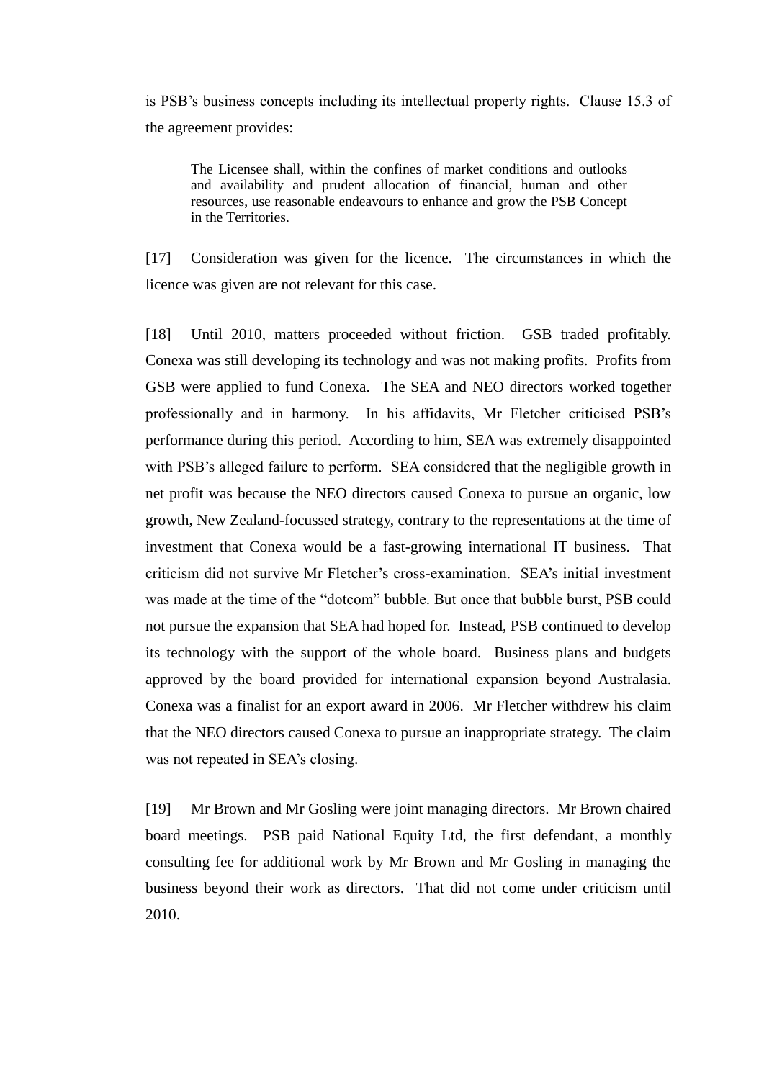is PSB"s business concepts including its intellectual property rights. Clause 15.3 of the agreement provides:

The Licensee shall, within the confines of market conditions and outlooks and availability and prudent allocation of financial, human and other resources, use reasonable endeavours to enhance and grow the PSB Concept in the Territories.

[17] Consideration was given for the licence. The circumstances in which the licence was given are not relevant for this case.

[18] Until 2010, matters proceeded without friction. GSB traded profitably. Conexa was still developing its technology and was not making profits. Profits from GSB were applied to fund Conexa. The SEA and NEO directors worked together professionally and in harmony. In his affidavits, Mr Fletcher criticised PSB"s performance during this period. According to him, SEA was extremely disappointed with PSB's alleged failure to perform. SEA considered that the negligible growth in net profit was because the NEO directors caused Conexa to pursue an organic, low growth, New Zealand-focussed strategy, contrary to the representations at the time of investment that Conexa would be a fast-growing international IT business. That criticism did not survive Mr Fletcher"s cross-examination. SEA"s initial investment was made at the time of the "dotcom" bubble. But once that bubble burst, PSB could not pursue the expansion that SEA had hoped for. Instead, PSB continued to develop its technology with the support of the whole board. Business plans and budgets approved by the board provided for international expansion beyond Australasia. Conexa was a finalist for an export award in 2006. Mr Fletcher withdrew his claim that the NEO directors caused Conexa to pursue an inappropriate strategy. The claim was not repeated in SEA's closing.

[19] Mr Brown and Mr Gosling were joint managing directors. Mr Brown chaired board meetings. PSB paid National Equity Ltd, the first defendant, a monthly consulting fee for additional work by Mr Brown and Mr Gosling in managing the business beyond their work as directors. That did not come under criticism until 2010.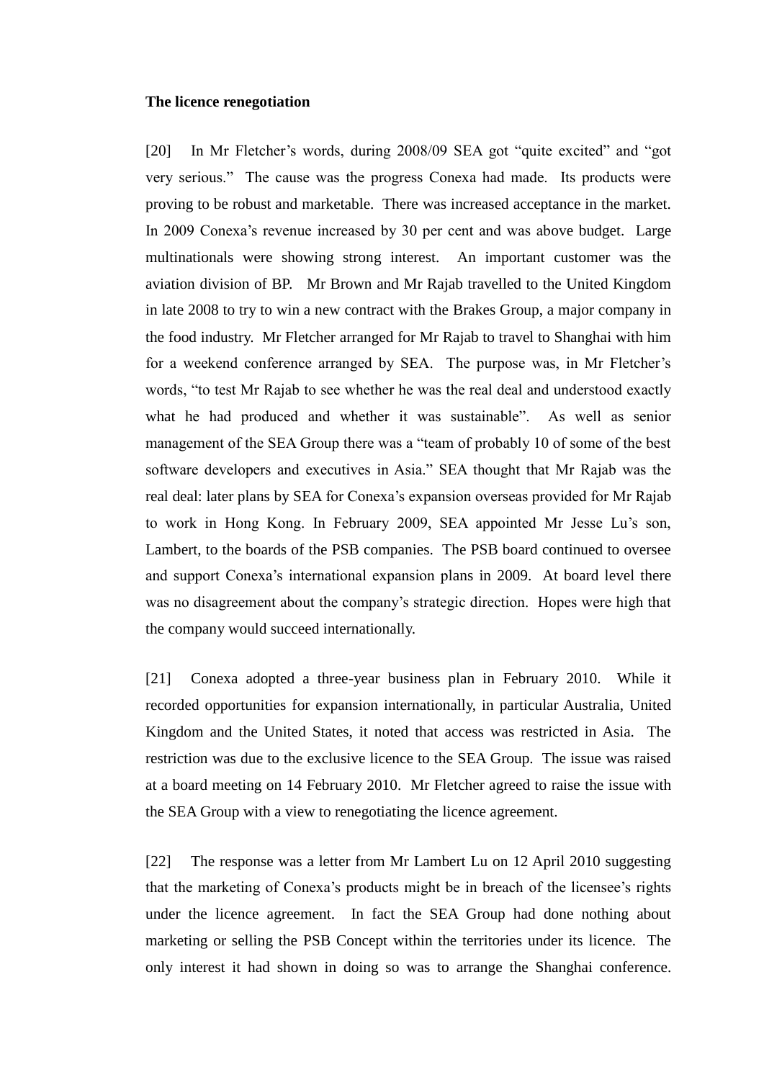#### **The licence renegotiation**

[20] In Mr Fletcher's words, during 2008/09 SEA got "quite excited" and "got very serious." The cause was the progress Conexa had made. Its products were proving to be robust and marketable. There was increased acceptance in the market. In 2009 Conexa"s revenue increased by 30 per cent and was above budget. Large multinationals were showing strong interest. An important customer was the aviation division of BP. Mr Brown and Mr Rajab travelled to the United Kingdom in late 2008 to try to win a new contract with the Brakes Group, a major company in the food industry. Mr Fletcher arranged for Mr Rajab to travel to Shanghai with him for a weekend conference arranged by SEA. The purpose was, in Mr Fletcher"s words, "to test Mr Rajab to see whether he was the real deal and understood exactly what he had produced and whether it was sustainable". As well as senior management of the SEA Group there was a "team of probably 10 of some of the best software developers and executives in Asia." SEA thought that Mr Rajab was the real deal: later plans by SEA for Conexa"s expansion overseas provided for Mr Rajab to work in Hong Kong. In February 2009, SEA appointed Mr Jesse Lu"s son, Lambert, to the boards of the PSB companies. The PSB board continued to oversee and support Conexa"s international expansion plans in 2009. At board level there was no disagreement about the company's strategic direction. Hopes were high that the company would succeed internationally.

[21] Conexa adopted a three-year business plan in February 2010. While it recorded opportunities for expansion internationally, in particular Australia, United Kingdom and the United States, it noted that access was restricted in Asia. The restriction was due to the exclusive licence to the SEA Group. The issue was raised at a board meeting on 14 February 2010. Mr Fletcher agreed to raise the issue with the SEA Group with a view to renegotiating the licence agreement.

[22] The response was a letter from Mr Lambert Lu on 12 April 2010 suggesting that the marketing of Conexa"s products might be in breach of the licensee"s rights under the licence agreement. In fact the SEA Group had done nothing about marketing or selling the PSB Concept within the territories under its licence. The only interest it had shown in doing so was to arrange the Shanghai conference.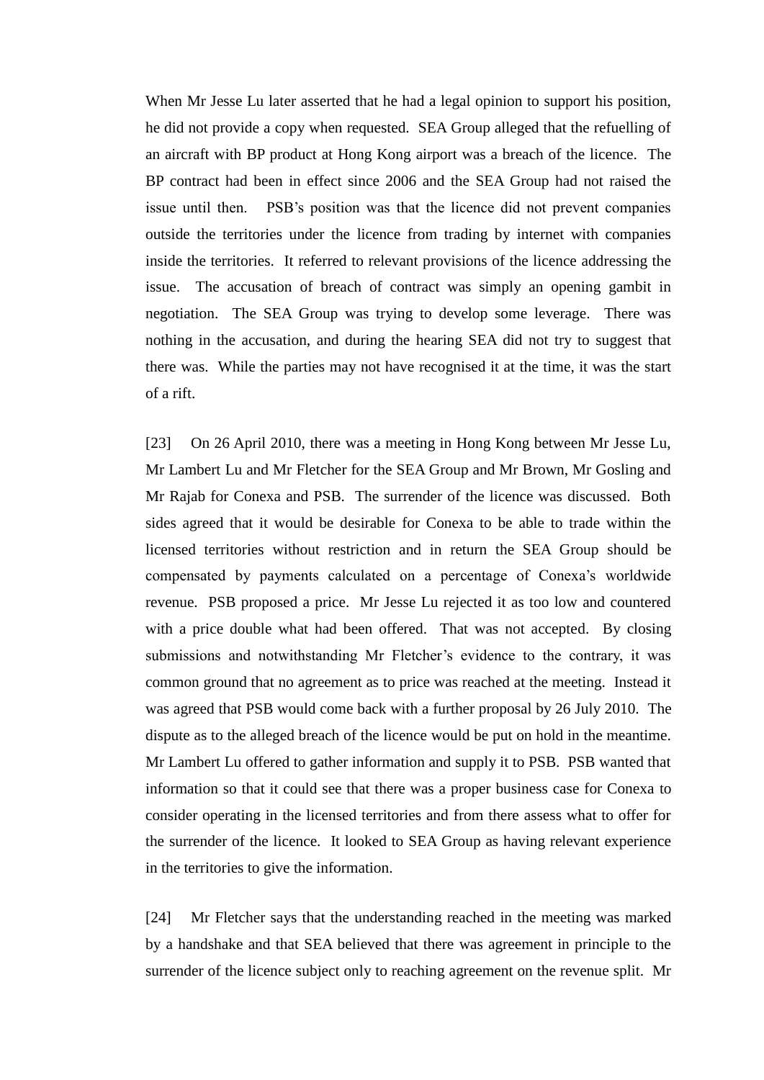When Mr Jesse Lu later asserted that he had a legal opinion to support his position, he did not provide a copy when requested. SEA Group alleged that the refuelling of an aircraft with BP product at Hong Kong airport was a breach of the licence. The BP contract had been in effect since 2006 and the SEA Group had not raised the issue until then. PSB"s position was that the licence did not prevent companies outside the territories under the licence from trading by internet with companies inside the territories. It referred to relevant provisions of the licence addressing the issue. The accusation of breach of contract was simply an opening gambit in negotiation. The SEA Group was trying to develop some leverage. There was nothing in the accusation, and during the hearing SEA did not try to suggest that there was. While the parties may not have recognised it at the time, it was the start of a rift.

[23] On 26 April 2010, there was a meeting in Hong Kong between Mr Jesse Lu, Mr Lambert Lu and Mr Fletcher for the SEA Group and Mr Brown, Mr Gosling and Mr Rajab for Conexa and PSB. The surrender of the licence was discussed. Both sides agreed that it would be desirable for Conexa to be able to trade within the licensed territories without restriction and in return the SEA Group should be compensated by payments calculated on a percentage of Conexa"s worldwide revenue. PSB proposed a price. Mr Jesse Lu rejected it as too low and countered with a price double what had been offered. That was not accepted. By closing submissions and notwithstanding Mr Fletcher's evidence to the contrary, it was common ground that no agreement as to price was reached at the meeting. Instead it was agreed that PSB would come back with a further proposal by 26 July 2010. The dispute as to the alleged breach of the licence would be put on hold in the meantime. Mr Lambert Lu offered to gather information and supply it to PSB. PSB wanted that information so that it could see that there was a proper business case for Conexa to consider operating in the licensed territories and from there assess what to offer for the surrender of the licence. It looked to SEA Group as having relevant experience in the territories to give the information.

[24] Mr Fletcher says that the understanding reached in the meeting was marked by a handshake and that SEA believed that there was agreement in principle to the surrender of the licence subject only to reaching agreement on the revenue split. Mr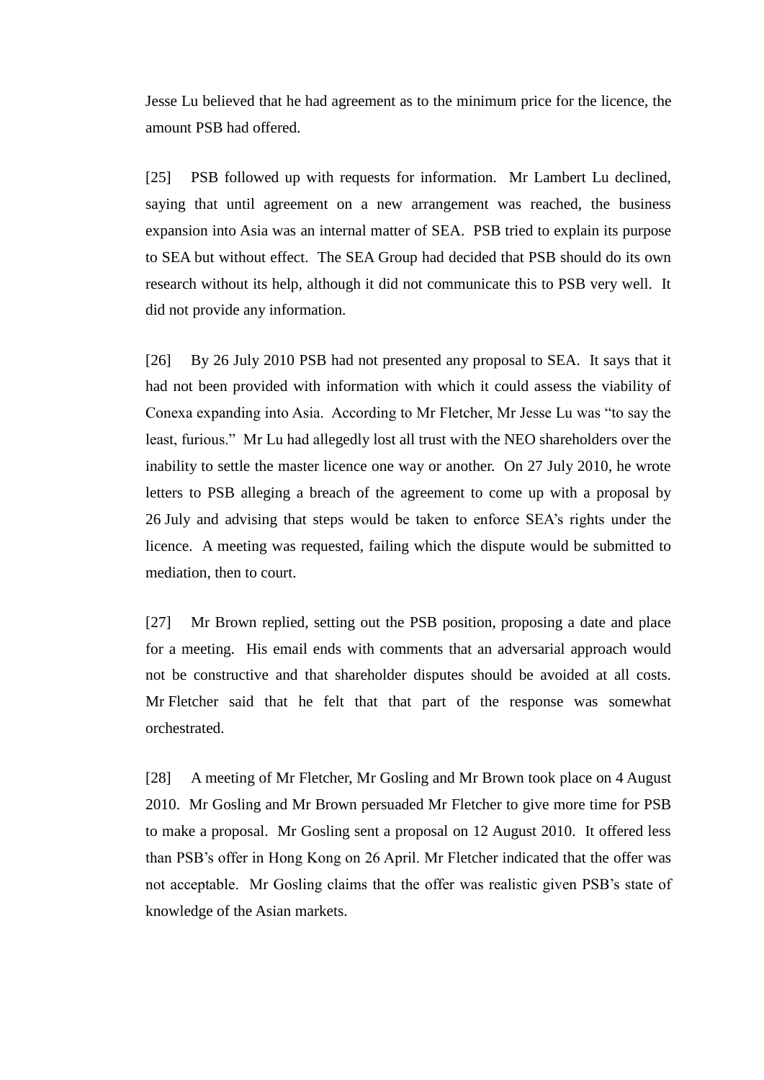Jesse Lu believed that he had agreement as to the minimum price for the licence, the amount PSB had offered.

[25] PSB followed up with requests for information. Mr Lambert Lu declined, saying that until agreement on a new arrangement was reached, the business expansion into Asia was an internal matter of SEA. PSB tried to explain its purpose to SEA but without effect. The SEA Group had decided that PSB should do its own research without its help, although it did not communicate this to PSB very well. It did not provide any information.

[26] By 26 July 2010 PSB had not presented any proposal to SEA. It says that it had not been provided with information with which it could assess the viability of Conexa expanding into Asia. According to Mr Fletcher, Mr Jesse Lu was "to say the least, furious." Mr Lu had allegedly lost all trust with the NEO shareholders over the inability to settle the master licence one way or another. On 27 July 2010, he wrote letters to PSB alleging a breach of the agreement to come up with a proposal by 26 July and advising that steps would be taken to enforce SEA"s rights under the licence. A meeting was requested, failing which the dispute would be submitted to mediation, then to court.

[27] Mr Brown replied, setting out the PSB position, proposing a date and place for a meeting. His email ends with comments that an adversarial approach would not be constructive and that shareholder disputes should be avoided at all costs. Mr Fletcher said that he felt that that part of the response was somewhat orchestrated.

[28] A meeting of Mr Fletcher, Mr Gosling and Mr Brown took place on 4 August 2010. Mr Gosling and Mr Brown persuaded Mr Fletcher to give more time for PSB to make a proposal. Mr Gosling sent a proposal on 12 August 2010. It offered less than PSB"s offer in Hong Kong on 26 April. Mr Fletcher indicated that the offer was not acceptable. Mr Gosling claims that the offer was realistic given PSB"s state of knowledge of the Asian markets.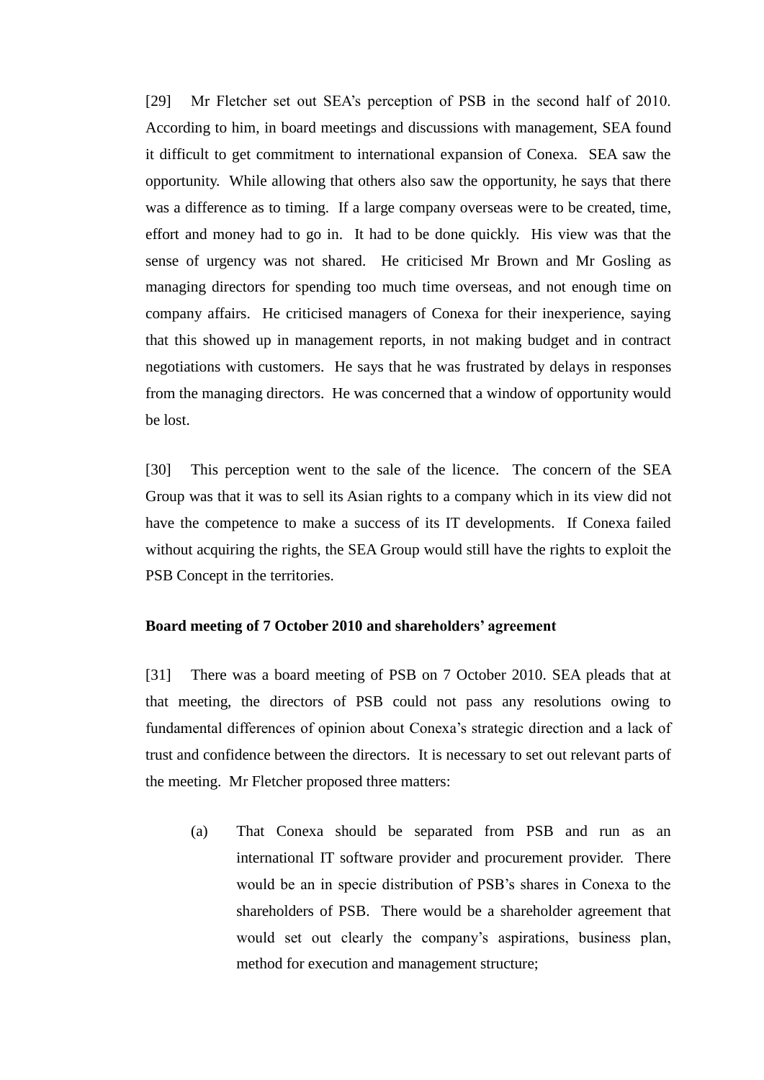[29] Mr Fletcher set out SEA's perception of PSB in the second half of 2010. According to him, in board meetings and discussions with management, SEA found it difficult to get commitment to international expansion of Conexa. SEA saw the opportunity. While allowing that others also saw the opportunity, he says that there was a difference as to timing. If a large company overseas were to be created, time, effort and money had to go in. It had to be done quickly. His view was that the sense of urgency was not shared. He criticised Mr Brown and Mr Gosling as managing directors for spending too much time overseas, and not enough time on company affairs. He criticised managers of Conexa for their inexperience, saying that this showed up in management reports, in not making budget and in contract negotiations with customers. He says that he was frustrated by delays in responses from the managing directors. He was concerned that a window of opportunity would be lost.

[30] This perception went to the sale of the licence. The concern of the SEA Group was that it was to sell its Asian rights to a company which in its view did not have the competence to make a success of its IT developments. If Conexa failed without acquiring the rights, the SEA Group would still have the rights to exploit the PSB Concept in the territories.

## **Board meeting of 7 October 2010 and shareholders' agreement**

[31] There was a board meeting of PSB on 7 October 2010. SEA pleads that at that meeting, the directors of PSB could not pass any resolutions owing to fundamental differences of opinion about Conexa"s strategic direction and a lack of trust and confidence between the directors. It is necessary to set out relevant parts of the meeting. Mr Fletcher proposed three matters:

(a) That Conexa should be separated from PSB and run as an international IT software provider and procurement provider. There would be an in specie distribution of PSB"s shares in Conexa to the shareholders of PSB. There would be a shareholder agreement that would set out clearly the company's aspirations, business plan, method for execution and management structure;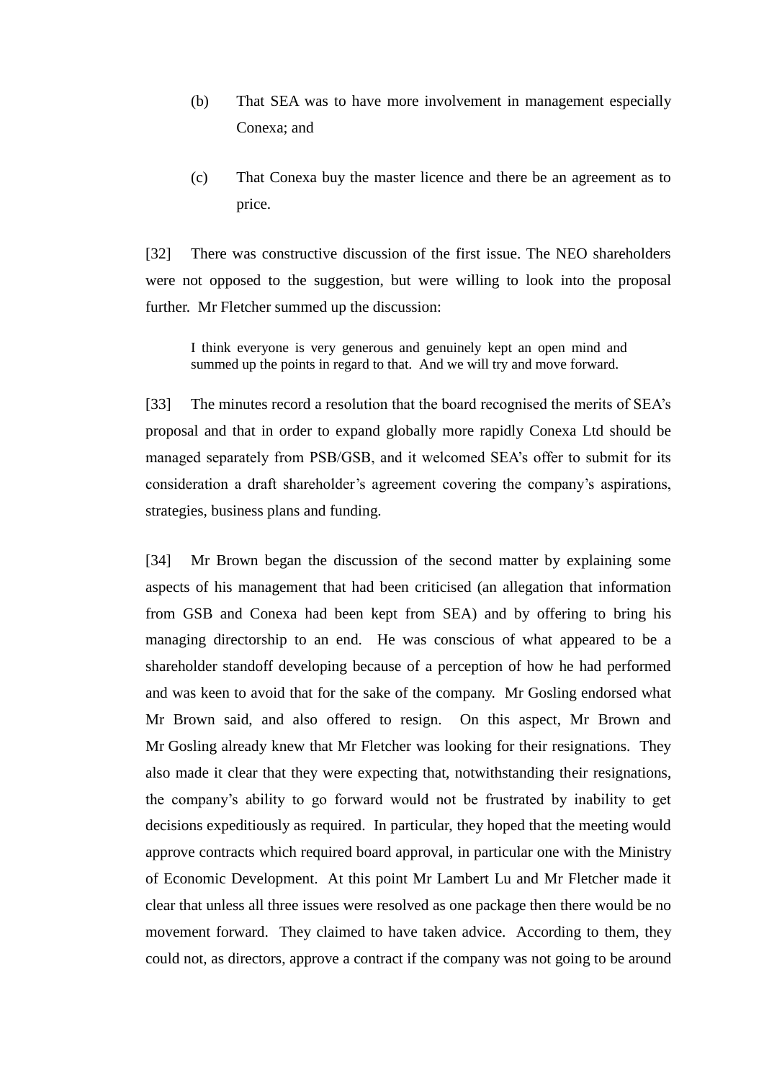- (b) That SEA was to have more involvement in management especially Conexa; and
- (c) That Conexa buy the master licence and there be an agreement as to price.

[32] There was constructive discussion of the first issue. The NEO shareholders were not opposed to the suggestion, but were willing to look into the proposal further. Mr Fletcher summed up the discussion:

I think everyone is very generous and genuinely kept an open mind and summed up the points in regard to that. And we will try and move forward.

[33] The minutes record a resolution that the board recognised the merits of SEA"s proposal and that in order to expand globally more rapidly Conexa Ltd should be managed separately from PSB/GSB, and it welcomed SEA's offer to submit for its consideration a draft shareholder's agreement covering the company's aspirations, strategies, business plans and funding.

[34] Mr Brown began the discussion of the second matter by explaining some aspects of his management that had been criticised (an allegation that information from GSB and Conexa had been kept from SEA) and by offering to bring his managing directorship to an end. He was conscious of what appeared to be a shareholder standoff developing because of a perception of how he had performed and was keen to avoid that for the sake of the company. Mr Gosling endorsed what Mr Brown said, and also offered to resign. On this aspect, Mr Brown and Mr Gosling already knew that Mr Fletcher was looking for their resignations. They also made it clear that they were expecting that, notwithstanding their resignations, the company"s ability to go forward would not be frustrated by inability to get decisions expeditiously as required. In particular, they hoped that the meeting would approve contracts which required board approval, in particular one with the Ministry of Economic Development. At this point Mr Lambert Lu and Mr Fletcher made it clear that unless all three issues were resolved as one package then there would be no movement forward. They claimed to have taken advice. According to them, they could not, as directors, approve a contract if the company was not going to be around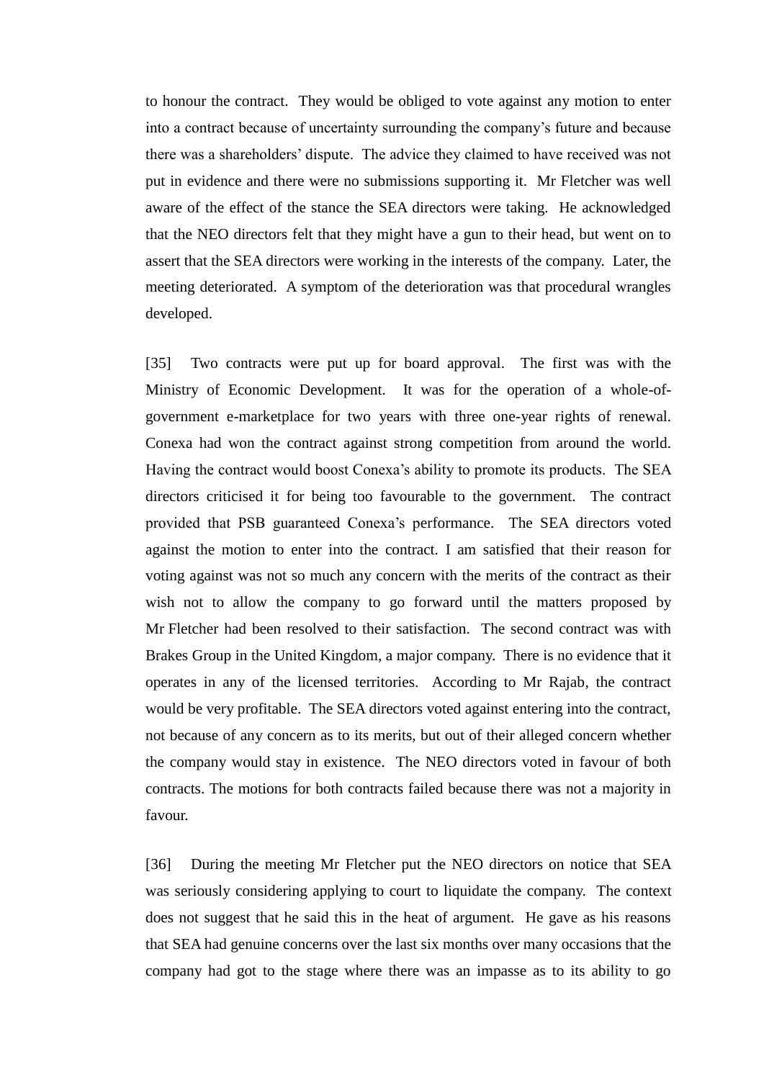to honour the contract. They would be obliged to vote against any motion to enter into a contract because of uncertainty surrounding the company"s future and because there was a shareholders" dispute. The advice they claimed to have received was not put in evidence and there were no submissions supporting it. Mr Fletcher was well aware of the effect of the stance the SEA directors were taking. He acknowledged that the NEO directors felt that they might have a gun to their head, but went on to assert that the SEA directors were working in the interests of the company. Later, the meeting deteriorated. A symptom of the deterioration was that procedural wrangles developed.

[35] Two contracts were put up for board approval. The first was with the Ministry of Economic Development. It was for the operation of a whole-ofgovernment e-marketplace for two years with three one-year rights of renewal. Conexa had won the contract against strong competition from around the world. Having the contract would boost Conexa's ability to promote its products. The SEA directors criticised it for being too favourable to the government. The contract provided that PSB guaranteed Conexa"s performance. The SEA directors voted against the motion to enter into the contract. I am satisfied that their reason for voting against was not so much any concern with the merits of the contract as their wish not to allow the company to go forward until the matters proposed by Mr Fletcher had been resolved to their satisfaction. The second contract was with Brakes Group in the United Kingdom, a major company. There is no evidence that it operates in any of the licensed territories. According to Mr Rajab, the contract would be very profitable. The SEA directors voted against entering into the contract, not because of any concern as to its merits, but out of their alleged concern whether the company would stay in existence. The NEO directors voted in favour of both contracts. The motions for both contracts failed because there was not a majority in favour.

[36] During the meeting Mr Fletcher put the NEO directors on notice that SEA was seriously considering applying to court to liquidate the company. The context does not suggest that he said this in the heat of argument. He gave as his reasons that SEA had genuine concerns over the last six months over many occasions that the company had got to the stage where there was an impasse as to its ability to go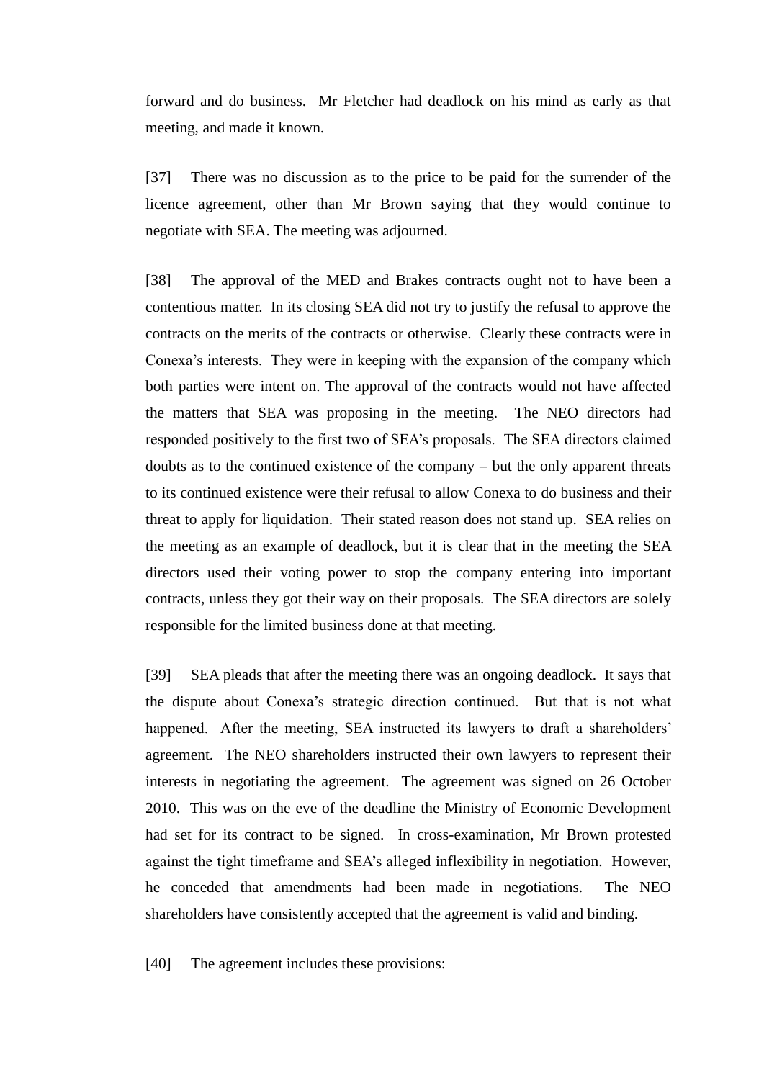forward and do business. Mr Fletcher had deadlock on his mind as early as that meeting, and made it known.

[37] There was no discussion as to the price to be paid for the surrender of the licence agreement, other than Mr Brown saying that they would continue to negotiate with SEA. The meeting was adjourned.

[38] The approval of the MED and Brakes contracts ought not to have been a contentious matter. In its closing SEA did not try to justify the refusal to approve the contracts on the merits of the contracts or otherwise. Clearly these contracts were in Conexa"s interests. They were in keeping with the expansion of the company which both parties were intent on. The approval of the contracts would not have affected the matters that SEA was proposing in the meeting. The NEO directors had responded positively to the first two of SEA"s proposals. The SEA directors claimed doubts as to the continued existence of the company – but the only apparent threats to its continued existence were their refusal to allow Conexa to do business and their threat to apply for liquidation. Their stated reason does not stand up. SEA relies on the meeting as an example of deadlock, but it is clear that in the meeting the SEA directors used their voting power to stop the company entering into important contracts, unless they got their way on their proposals. The SEA directors are solely responsible for the limited business done at that meeting.

[39] SEA pleads that after the meeting there was an ongoing deadlock. It says that the dispute about Conexa"s strategic direction continued. But that is not what happened. After the meeting, SEA instructed its lawyers to draft a shareholders' agreement. The NEO shareholders instructed their own lawyers to represent their interests in negotiating the agreement. The agreement was signed on 26 October 2010. This was on the eve of the deadline the Ministry of Economic Development had set for its contract to be signed. In cross-examination, Mr Brown protested against the tight timeframe and SEA"s alleged inflexibility in negotiation. However, he conceded that amendments had been made in negotiations. The NEO shareholders have consistently accepted that the agreement is valid and binding.

[40] The agreement includes these provisions: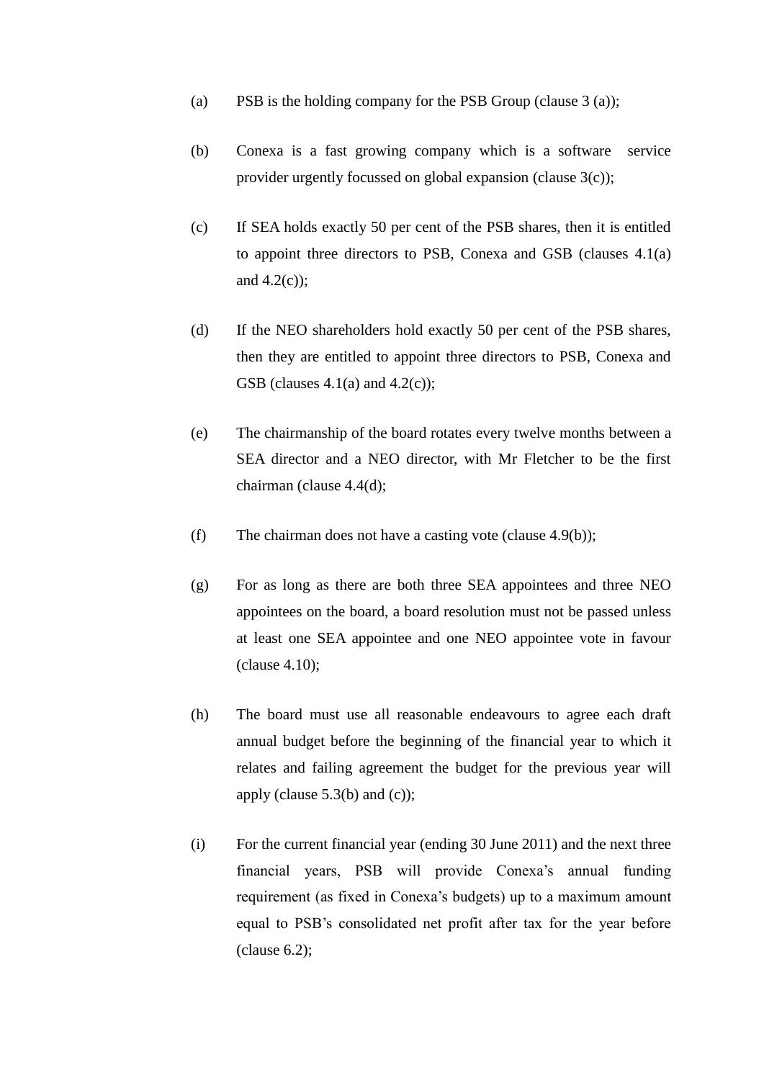- (a) PSB is the holding company for the PSB Group (clause 3 (a));
- (b) Conexa is a fast growing company which is a software service provider urgently focussed on global expansion (clause 3(c));
- (c) If SEA holds exactly 50 per cent of the PSB shares, then it is entitled to appoint three directors to PSB, Conexa and GSB (clauses 4.1(a) and  $4.2(c)$ ;
- (d) If the NEO shareholders hold exactly 50 per cent of the PSB shares, then they are entitled to appoint three directors to PSB, Conexa and GSB (clauses  $4.1(a)$  and  $4.2(c)$ );
- (e) The chairmanship of the board rotates every twelve months between a SEA director and a NEO director, with Mr Fletcher to be the first chairman (clause 4.4(d);
- (f) The chairman does not have a casting vote (clause 4.9(b));
- (g) For as long as there are both three SEA appointees and three NEO appointees on the board, a board resolution must not be passed unless at least one SEA appointee and one NEO appointee vote in favour (clause 4.10);
- (h) The board must use all reasonable endeavours to agree each draft annual budget before the beginning of the financial year to which it relates and failing agreement the budget for the previous year will apply (clause  $5.3(b)$  and (c));
- (i) For the current financial year (ending 30 June 2011) and the next three financial years, PSB will provide Conexa"s annual funding requirement (as fixed in Conexa's budgets) up to a maximum amount equal to PSB"s consolidated net profit after tax for the year before (clause 6.2);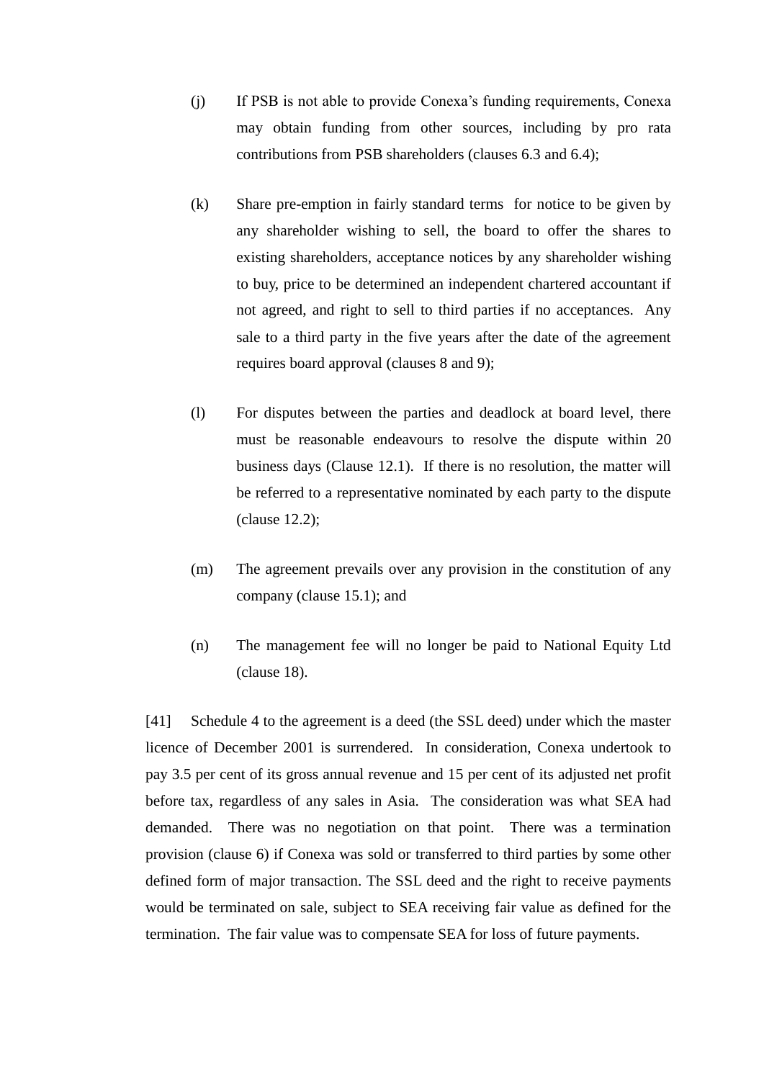- (j) If PSB is not able to provide Conexa"s funding requirements, Conexa may obtain funding from other sources, including by pro rata contributions from PSB shareholders (clauses 6.3 and 6.4);
- (k) Share pre-emption in fairly standard terms for notice to be given by any shareholder wishing to sell, the board to offer the shares to existing shareholders, acceptance notices by any shareholder wishing to buy, price to be determined an independent chartered accountant if not agreed, and right to sell to third parties if no acceptances. Any sale to a third party in the five years after the date of the agreement requires board approval (clauses 8 and 9);
- (l) For disputes between the parties and deadlock at board level, there must be reasonable endeavours to resolve the dispute within 20 business days (Clause 12.1). If there is no resolution, the matter will be referred to a representative nominated by each party to the dispute (clause 12.2);
- (m) The agreement prevails over any provision in the constitution of any company (clause 15.1); and
- (n) The management fee will no longer be paid to National Equity Ltd (clause 18).

[41] Schedule 4 to the agreement is a deed (the SSL deed) under which the master licence of December 2001 is surrendered. In consideration, Conexa undertook to pay 3.5 per cent of its gross annual revenue and 15 per cent of its adjusted net profit before tax, regardless of any sales in Asia. The consideration was what SEA had demanded. There was no negotiation on that point. There was a termination provision (clause 6) if Conexa was sold or transferred to third parties by some other defined form of major transaction. The SSL deed and the right to receive payments would be terminated on sale, subject to SEA receiving fair value as defined for the termination. The fair value was to compensate SEA for loss of future payments.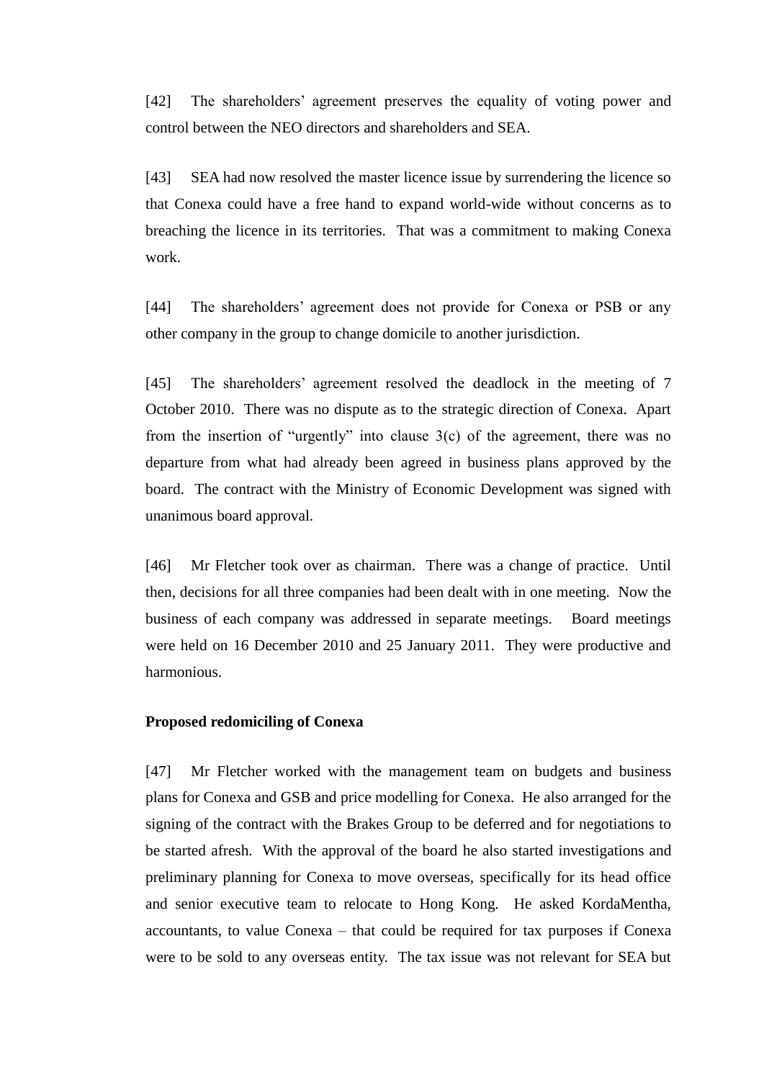[42] The shareholders' agreement preserves the equality of voting power and control between the NEO directors and shareholders and SEA.

[43] SEA had now resolved the master licence issue by surrendering the licence so that Conexa could have a free hand to expand world-wide without concerns as to breaching the licence in its territories. That was a commitment to making Conexa work.

[44] The shareholders' agreement does not provide for Conexa or PSB or any other company in the group to change domicile to another jurisdiction.

[45] The shareholders' agreement resolved the deadlock in the meeting of 7 October 2010. There was no dispute as to the strategic direction of Conexa. Apart from the insertion of "urgently" into clause 3(c) of the agreement, there was no departure from what had already been agreed in business plans approved by the board. The contract with the Ministry of Economic Development was signed with unanimous board approval.

[46] Mr Fletcher took over as chairman. There was a change of practice. Until then, decisions for all three companies had been dealt with in one meeting. Now the business of each company was addressed in separate meetings. Board meetings were held on 16 December 2010 and 25 January 2011. They were productive and harmonious.

#### **Proposed redomiciling of Conexa**

[47] Mr Fletcher worked with the management team on budgets and business plans for Conexa and GSB and price modelling for Conexa. He also arranged for the signing of the contract with the Brakes Group to be deferred and for negotiations to be started afresh. With the approval of the board he also started investigations and preliminary planning for Conexa to move overseas, specifically for its head office and senior executive team to relocate to Hong Kong. He asked KordaMentha, accountants, to value Conexa – that could be required for tax purposes if Conexa were to be sold to any overseas entity. The tax issue was not relevant for SEA but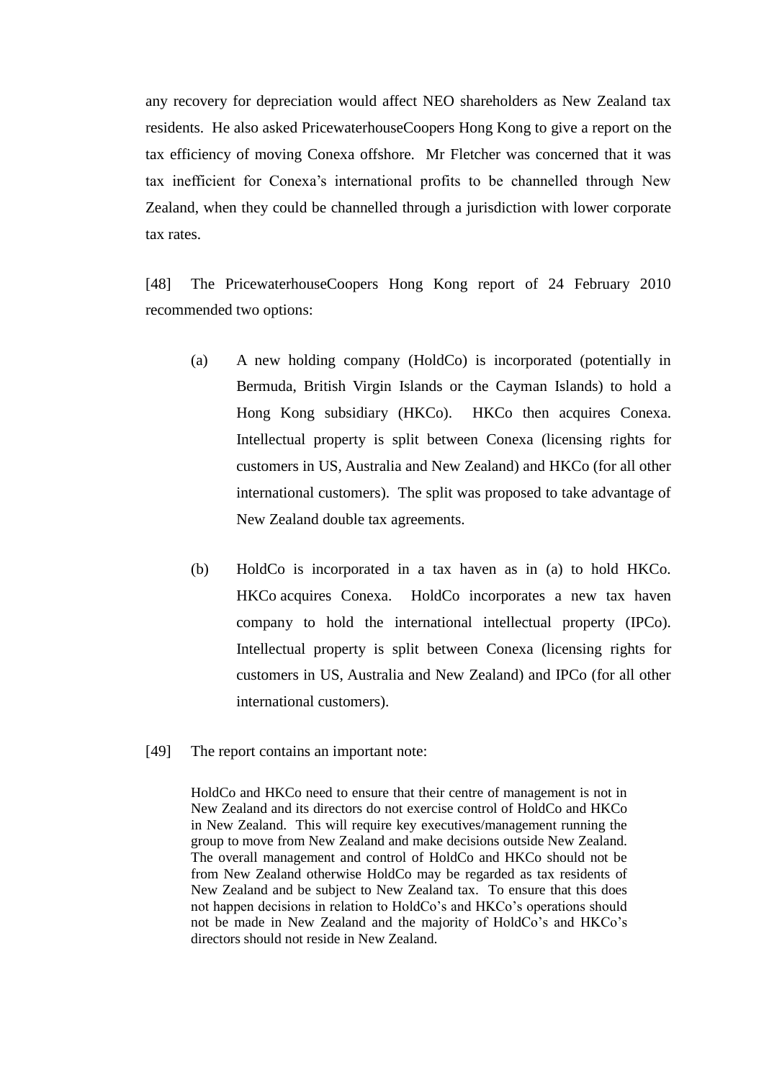any recovery for depreciation would affect NEO shareholders as New Zealand tax residents. He also asked PricewaterhouseCoopers Hong Kong to give a report on the tax efficiency of moving Conexa offshore. Mr Fletcher was concerned that it was tax inefficient for Conexa"s international profits to be channelled through New Zealand, when they could be channelled through a jurisdiction with lower corporate tax rates.

[48] The PricewaterhouseCoopers Hong Kong report of 24 February 2010 recommended two options:

- (a) A new holding company (HoldCo) is incorporated (potentially in Bermuda, British Virgin Islands or the Cayman Islands) to hold a Hong Kong subsidiary (HKCo). HKCo then acquires Conexa. Intellectual property is split between Conexa (licensing rights for customers in US, Australia and New Zealand) and HKCo (for all other international customers). The split was proposed to take advantage of New Zealand double tax agreements.
- (b) HoldCo is incorporated in a tax haven as in (a) to hold HKCo. HKCo acquires Conexa. HoldCo incorporates a new tax haven company to hold the international intellectual property (IPCo). Intellectual property is split between Conexa (licensing rights for customers in US, Australia and New Zealand) and IPCo (for all other international customers).
- [49] The report contains an important note:

HoldCo and HKCo need to ensure that their centre of management is not in New Zealand and its directors do not exercise control of HoldCo and HKCo in New Zealand. This will require key executives/management running the group to move from New Zealand and make decisions outside New Zealand. The overall management and control of HoldCo and HKCo should not be from New Zealand otherwise HoldCo may be regarded as tax residents of New Zealand and be subject to New Zealand tax. To ensure that this does not happen decisions in relation to HoldCo"s and HKCo"s operations should not be made in New Zealand and the majority of HoldCo"s and HKCo"s directors should not reside in New Zealand.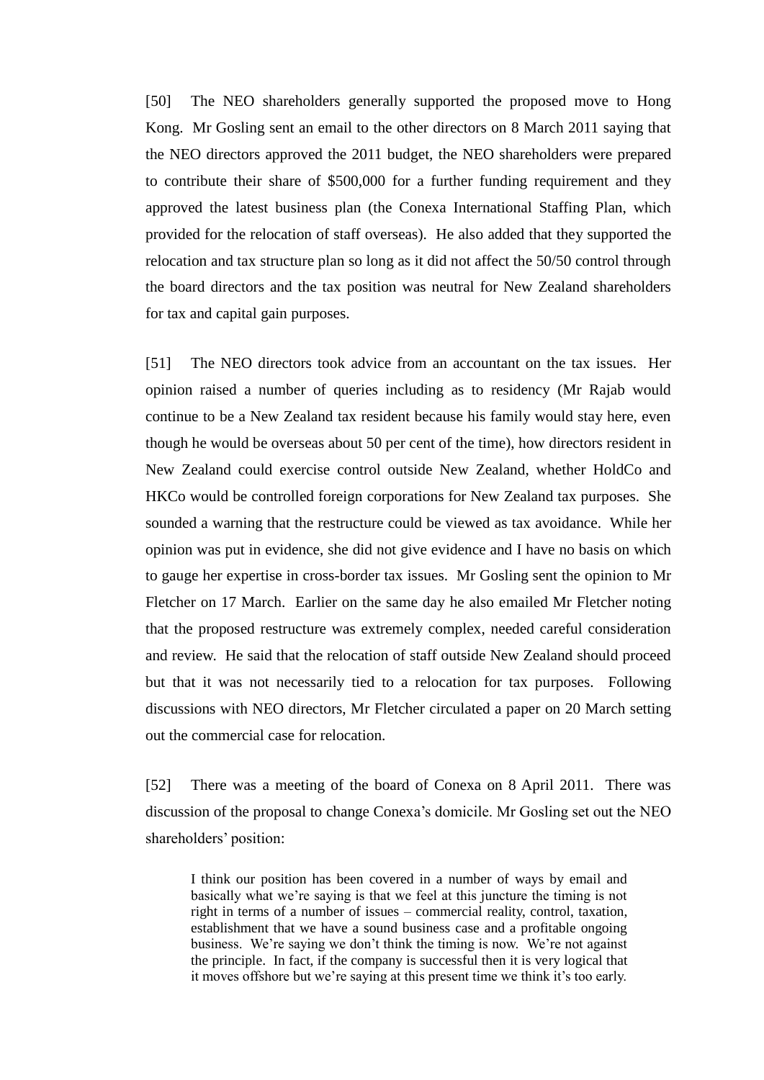[50] The NEO shareholders generally supported the proposed move to Hong Kong. Mr Gosling sent an email to the other directors on 8 March 2011 saying that the NEO directors approved the 2011 budget, the NEO shareholders were prepared to contribute their share of \$500,000 for a further funding requirement and they approved the latest business plan (the Conexa International Staffing Plan, which provided for the relocation of staff overseas). He also added that they supported the relocation and tax structure plan so long as it did not affect the 50/50 control through the board directors and the tax position was neutral for New Zealand shareholders for tax and capital gain purposes.

[51] The NEO directors took advice from an accountant on the tax issues. Her opinion raised a number of queries including as to residency (Mr Rajab would continue to be a New Zealand tax resident because his family would stay here, even though he would be overseas about 50 per cent of the time), how directors resident in New Zealand could exercise control outside New Zealand, whether HoldCo and HKCo would be controlled foreign corporations for New Zealand tax purposes. She sounded a warning that the restructure could be viewed as tax avoidance. While her opinion was put in evidence, she did not give evidence and I have no basis on which to gauge her expertise in cross-border tax issues. Mr Gosling sent the opinion to Mr Fletcher on 17 March. Earlier on the same day he also emailed Mr Fletcher noting that the proposed restructure was extremely complex, needed careful consideration and review. He said that the relocation of staff outside New Zealand should proceed but that it was not necessarily tied to a relocation for tax purposes. Following discussions with NEO directors, Mr Fletcher circulated a paper on 20 March setting out the commercial case for relocation.

[52] There was a meeting of the board of Conexa on 8 April 2011. There was discussion of the proposal to change Conexa"s domicile. Mr Gosling set out the NEO shareholders' position:

I think our position has been covered in a number of ways by email and basically what we"re saying is that we feel at this juncture the timing is not right in terms of a number of issues – commercial reality, control, taxation, establishment that we have a sound business case and a profitable ongoing business. We're saying we don't think the timing is now. We're not against the principle. In fact, if the company is successful then it is very logical that it moves offshore but we're saying at this present time we think it's too early.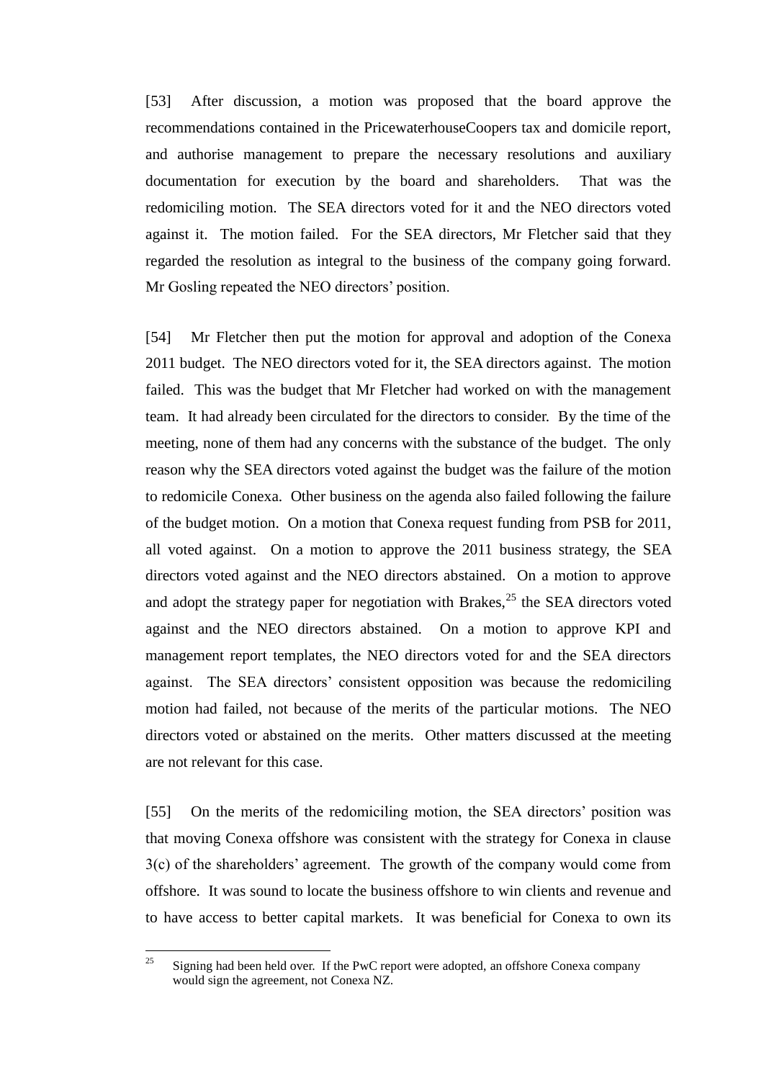[53] After discussion, a motion was proposed that the board approve the recommendations contained in the PricewaterhouseCoopers tax and domicile report, and authorise management to prepare the necessary resolutions and auxiliary documentation for execution by the board and shareholders. That was the redomiciling motion. The SEA directors voted for it and the NEO directors voted against it. The motion failed. For the SEA directors, Mr Fletcher said that they regarded the resolution as integral to the business of the company going forward. Mr Gosling repeated the NEO directors' position.

[54] Mr Fletcher then put the motion for approval and adoption of the Conexa 2011 budget. The NEO directors voted for it, the SEA directors against. The motion failed. This was the budget that Mr Fletcher had worked on with the management team. It had already been circulated for the directors to consider. By the time of the meeting, none of them had any concerns with the substance of the budget. The only reason why the SEA directors voted against the budget was the failure of the motion to redomicile Conexa. Other business on the agenda also failed following the failure of the budget motion. On a motion that Conexa request funding from PSB for 2011, all voted against. On a motion to approve the 2011 business strategy, the SEA directors voted against and the NEO directors abstained. On a motion to approve and adopt the strategy paper for negotiation with Brakes, $^{25}$  the SEA directors voted against and the NEO directors abstained. On a motion to approve KPI and management report templates, the NEO directors voted for and the SEA directors against. The SEA directors" consistent opposition was because the redomiciling motion had failed, not because of the merits of the particular motions. The NEO directors voted or abstained on the merits. Other matters discussed at the meeting are not relevant for this case.

[55] On the merits of the redomiciling motion, the SEA directors' position was that moving Conexa offshore was consistent with the strategy for Conexa in clause 3(c) of the shareholders" agreement. The growth of the company would come from offshore. It was sound to locate the business offshore to win clients and revenue and to have access to better capital markets. It was beneficial for Conexa to own its

 $25$ <sup>25</sup> Signing had been held over. If the PwC report were adopted, an offshore Conexa company would sign the agreement, not Conexa NZ.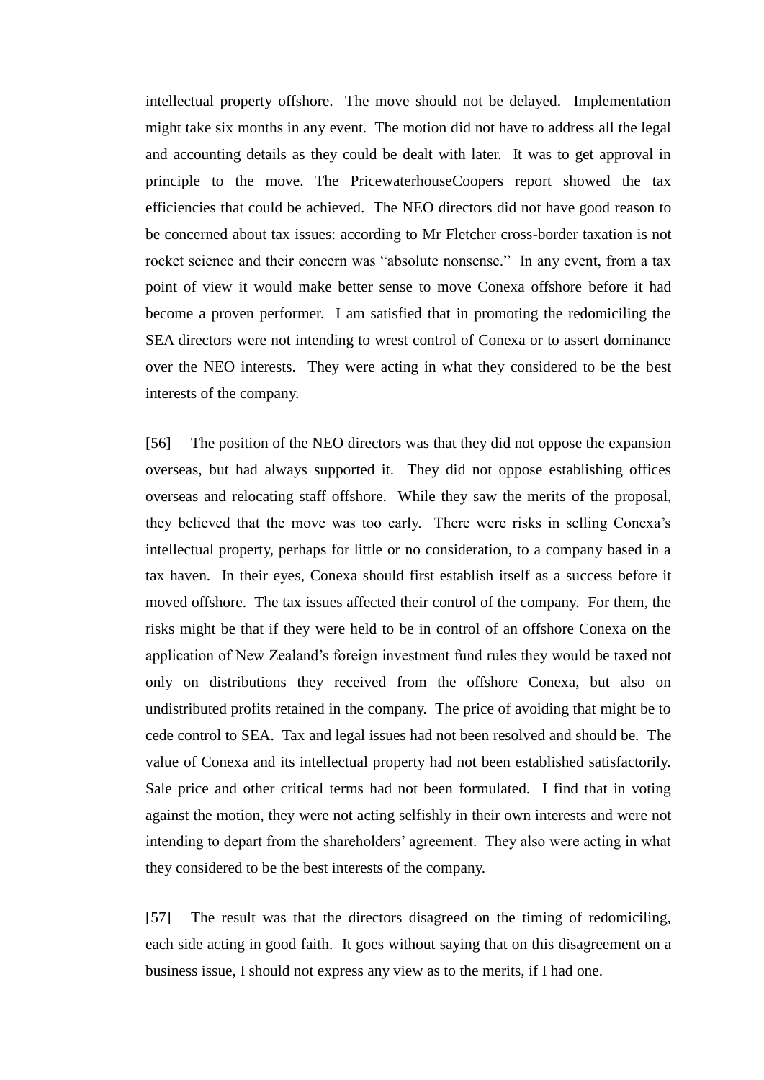intellectual property offshore. The move should not be delayed. Implementation might take six months in any event. The motion did not have to address all the legal and accounting details as they could be dealt with later. It was to get approval in principle to the move. The PricewaterhouseCoopers report showed the tax efficiencies that could be achieved. The NEO directors did not have good reason to be concerned about tax issues: according to Mr Fletcher cross-border taxation is not rocket science and their concern was "absolute nonsense." In any event, from a tax point of view it would make better sense to move Conexa offshore before it had become a proven performer. I am satisfied that in promoting the redomiciling the SEA directors were not intending to wrest control of Conexa or to assert dominance over the NEO interests. They were acting in what they considered to be the best interests of the company.

[56] The position of the NEO directors was that they did not oppose the expansion overseas, but had always supported it. They did not oppose establishing offices overseas and relocating staff offshore. While they saw the merits of the proposal, they believed that the move was too early. There were risks in selling Conexa"s intellectual property, perhaps for little or no consideration, to a company based in a tax haven. In their eyes, Conexa should first establish itself as a success before it moved offshore. The tax issues affected their control of the company. For them, the risks might be that if they were held to be in control of an offshore Conexa on the application of New Zealand"s foreign investment fund rules they would be taxed not only on distributions they received from the offshore Conexa, but also on undistributed profits retained in the company. The price of avoiding that might be to cede control to SEA. Tax and legal issues had not been resolved and should be. The value of Conexa and its intellectual property had not been established satisfactorily. Sale price and other critical terms had not been formulated. I find that in voting against the motion, they were not acting selfishly in their own interests and were not intending to depart from the shareholders' agreement. They also were acting in what they considered to be the best interests of the company.

[57] The result was that the directors disagreed on the timing of redomiciling, each side acting in good faith. It goes without saying that on this disagreement on a business issue, I should not express any view as to the merits, if I had one.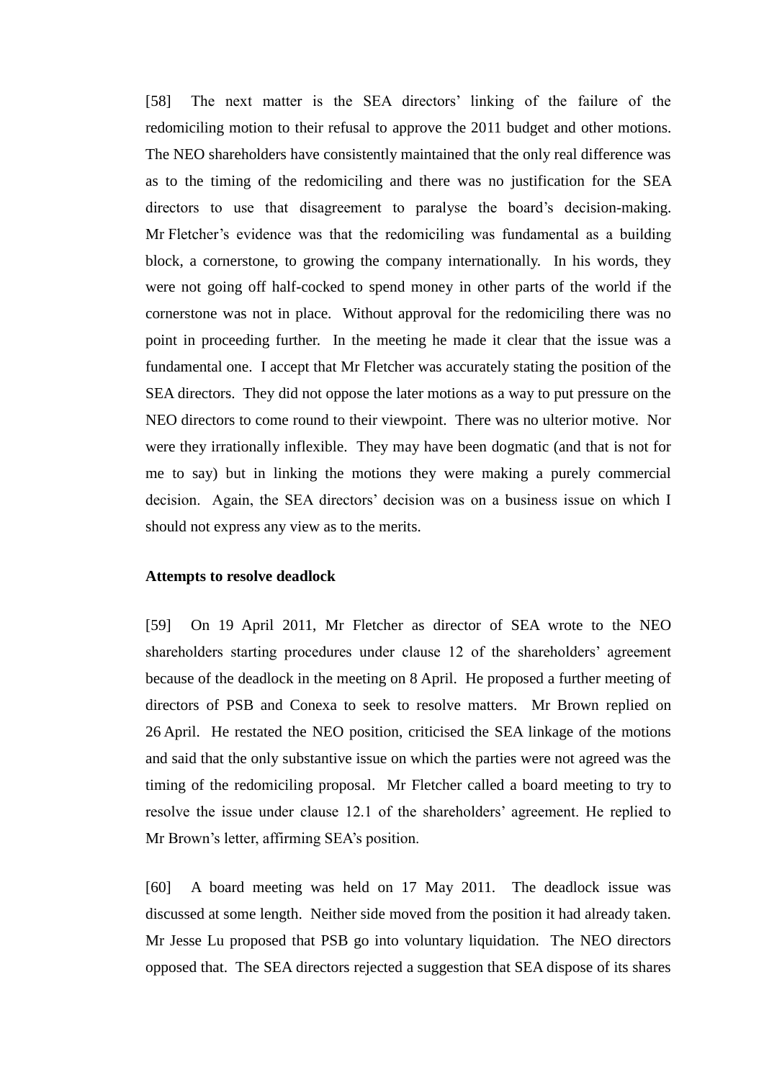[58] The next matter is the SEA directors' linking of the failure of the redomiciling motion to their refusal to approve the 2011 budget and other motions. The NEO shareholders have consistently maintained that the only real difference was as to the timing of the redomiciling and there was no justification for the SEA directors to use that disagreement to paralyse the board's decision-making. Mr Fletcher"s evidence was that the redomiciling was fundamental as a building block, a cornerstone, to growing the company internationally. In his words, they were not going off half-cocked to spend money in other parts of the world if the cornerstone was not in place. Without approval for the redomiciling there was no point in proceeding further. In the meeting he made it clear that the issue was a fundamental one. I accept that Mr Fletcher was accurately stating the position of the SEA directors. They did not oppose the later motions as a way to put pressure on the NEO directors to come round to their viewpoint. There was no ulterior motive. Nor were they irrationally inflexible. They may have been dogmatic (and that is not for me to say) but in linking the motions they were making a purely commercial decision. Again, the SEA directors' decision was on a business issue on which I should not express any view as to the merits.

#### **Attempts to resolve deadlock**

[59] On 19 April 2011, Mr Fletcher as director of SEA wrote to the NEO shareholders starting procedures under clause 12 of the shareholders' agreement because of the deadlock in the meeting on 8 April. He proposed a further meeting of directors of PSB and Conexa to seek to resolve matters. Mr Brown replied on 26 April. He restated the NEO position, criticised the SEA linkage of the motions and said that the only substantive issue on which the parties were not agreed was the timing of the redomiciling proposal. Mr Fletcher called a board meeting to try to resolve the issue under clause 12.1 of the shareholders' agreement. He replied to Mr Brown's letter, affirming SEA's position.

[60] A board meeting was held on 17 May 2011. The deadlock issue was discussed at some length. Neither side moved from the position it had already taken. Mr Jesse Lu proposed that PSB go into voluntary liquidation. The NEO directors opposed that. The SEA directors rejected a suggestion that SEA dispose of its shares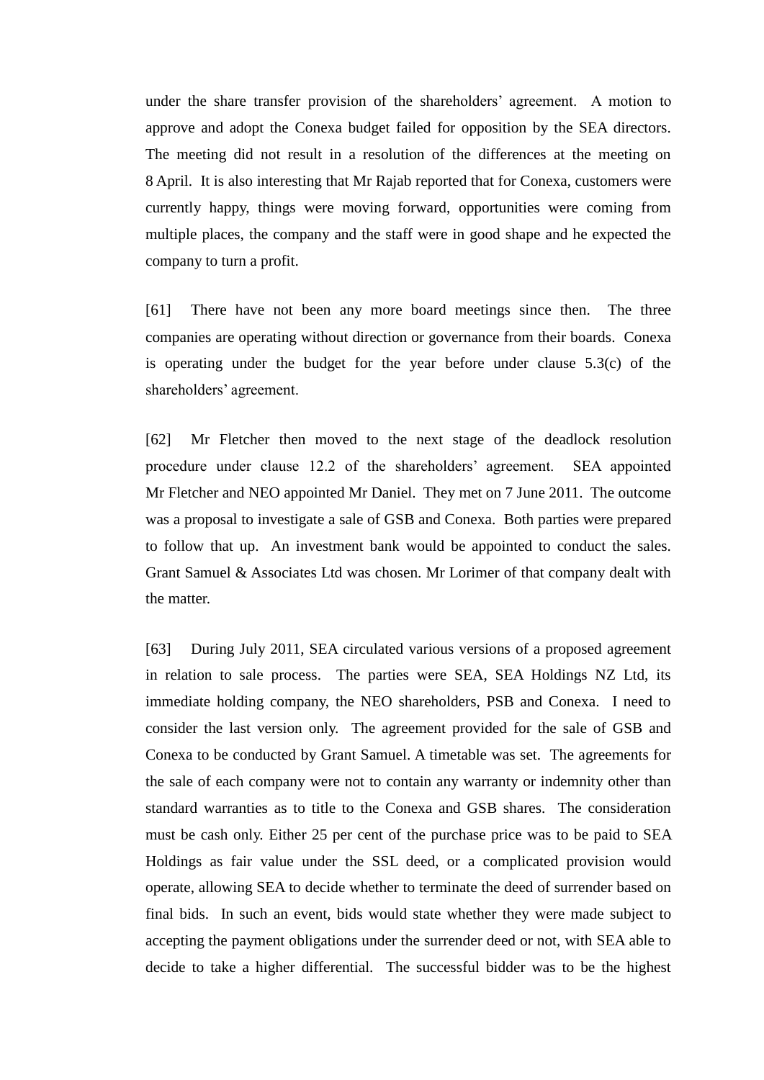under the share transfer provision of the shareholders" agreement. A motion to approve and adopt the Conexa budget failed for opposition by the SEA directors. The meeting did not result in a resolution of the differences at the meeting on 8 April. It is also interesting that Mr Rajab reported that for Conexa, customers were currently happy, things were moving forward, opportunities were coming from multiple places, the company and the staff were in good shape and he expected the company to turn a profit.

[61] There have not been any more board meetings since then. The three companies are operating without direction or governance from their boards. Conexa is operating under the budget for the year before under clause 5.3(c) of the shareholders' agreement.

[62] Mr Fletcher then moved to the next stage of the deadlock resolution procedure under clause 12.2 of the shareholders" agreement. SEA appointed Mr Fletcher and NEO appointed Mr Daniel. They met on 7 June 2011. The outcome was a proposal to investigate a sale of GSB and Conexa. Both parties were prepared to follow that up. An investment bank would be appointed to conduct the sales. Grant Samuel & Associates Ltd was chosen. Mr Lorimer of that company dealt with the matter.

[63] During July 2011, SEA circulated various versions of a proposed agreement in relation to sale process. The parties were SEA, SEA Holdings NZ Ltd, its immediate holding company, the NEO shareholders, PSB and Conexa. I need to consider the last version only. The agreement provided for the sale of GSB and Conexa to be conducted by Grant Samuel. A timetable was set. The agreements for the sale of each company were not to contain any warranty or indemnity other than standard warranties as to title to the Conexa and GSB shares. The consideration must be cash only. Either 25 per cent of the purchase price was to be paid to SEA Holdings as fair value under the SSL deed, or a complicated provision would operate, allowing SEA to decide whether to terminate the deed of surrender based on final bids. In such an event, bids would state whether they were made subject to accepting the payment obligations under the surrender deed or not, with SEA able to decide to take a higher differential. The successful bidder was to be the highest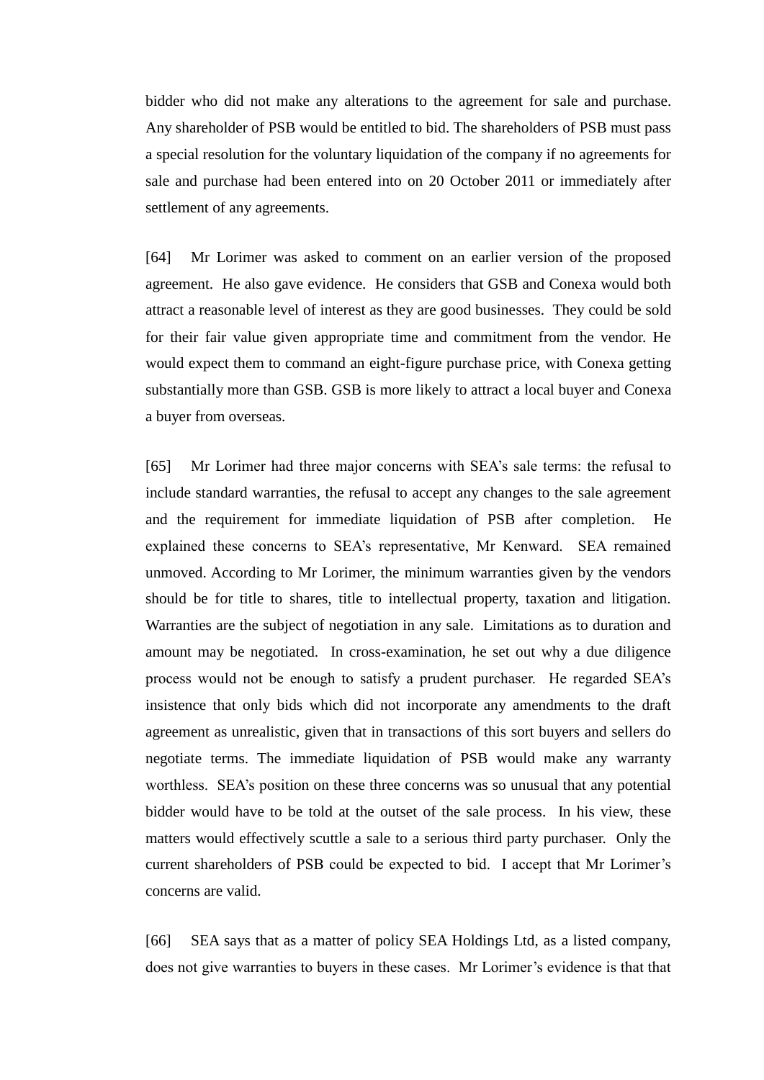bidder who did not make any alterations to the agreement for sale and purchase. Any shareholder of PSB would be entitled to bid. The shareholders of PSB must pass a special resolution for the voluntary liquidation of the company if no agreements for sale and purchase had been entered into on 20 October 2011 or immediately after settlement of any agreements.

[64] Mr Lorimer was asked to comment on an earlier version of the proposed agreement. He also gave evidence. He considers that GSB and Conexa would both attract a reasonable level of interest as they are good businesses. They could be sold for their fair value given appropriate time and commitment from the vendor. He would expect them to command an eight-figure purchase price, with Conexa getting substantially more than GSB. GSB is more likely to attract a local buyer and Conexa a buyer from overseas.

[65] Mr Lorimer had three major concerns with SEA's sale terms: the refusal to include standard warranties, the refusal to accept any changes to the sale agreement and the requirement for immediate liquidation of PSB after completion. He explained these concerns to SEA"s representative, Mr Kenward. SEA remained unmoved. According to Mr Lorimer, the minimum warranties given by the vendors should be for title to shares, title to intellectual property, taxation and litigation. Warranties are the subject of negotiation in any sale. Limitations as to duration and amount may be negotiated. In cross-examination, he set out why a due diligence process would not be enough to satisfy a prudent purchaser. He regarded SEA"s insistence that only bids which did not incorporate any amendments to the draft agreement as unrealistic, given that in transactions of this sort buyers and sellers do negotiate terms. The immediate liquidation of PSB would make any warranty worthless. SEA's position on these three concerns was so unusual that any potential bidder would have to be told at the outset of the sale process. In his view, these matters would effectively scuttle a sale to a serious third party purchaser. Only the current shareholders of PSB could be expected to bid. I accept that Mr Lorimer"s concerns are valid.

[66] SEA says that as a matter of policy SEA Holdings Ltd, as a listed company, does not give warranties to buyers in these cases. Mr Lorimer's evidence is that that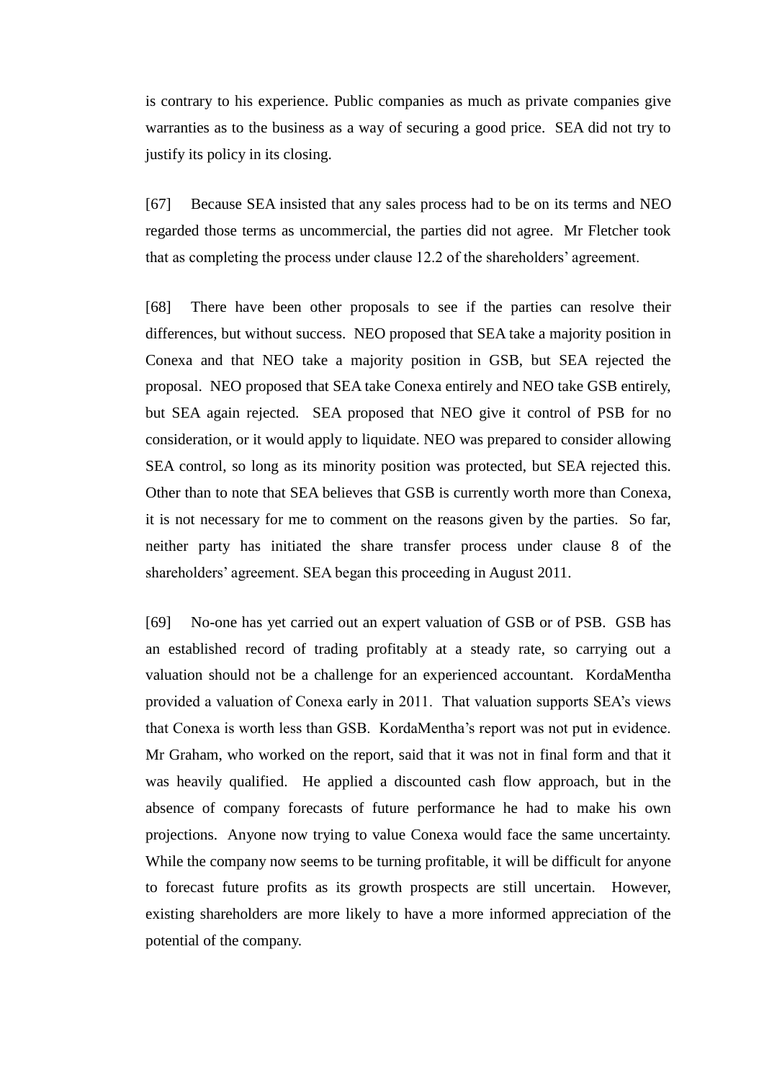is contrary to his experience. Public companies as much as private companies give warranties as to the business as a way of securing a good price. SEA did not try to justify its policy in its closing.

[67] Because SEA insisted that any sales process had to be on its terms and NEO regarded those terms as uncommercial, the parties did not agree. Mr Fletcher took that as completing the process under clause 12.2 of the shareholders' agreement.

[68] There have been other proposals to see if the parties can resolve their differences, but without success. NEO proposed that SEA take a majority position in Conexa and that NEO take a majority position in GSB, but SEA rejected the proposal. NEO proposed that SEA take Conexa entirely and NEO take GSB entirely, but SEA again rejected. SEA proposed that NEO give it control of PSB for no consideration, or it would apply to liquidate. NEO was prepared to consider allowing SEA control, so long as its minority position was protected, but SEA rejected this. Other than to note that SEA believes that GSB is currently worth more than Conexa, it is not necessary for me to comment on the reasons given by the parties. So far, neither party has initiated the share transfer process under clause 8 of the shareholders' agreement. SEA began this proceeding in August 2011.

[69] No-one has yet carried out an expert valuation of GSB or of PSB. GSB has an established record of trading profitably at a steady rate, so carrying out a valuation should not be a challenge for an experienced accountant. KordaMentha provided a valuation of Conexa early in 2011. That valuation supports SEA"s views that Conexa is worth less than GSB. KordaMentha"s report was not put in evidence. Mr Graham, who worked on the report, said that it was not in final form and that it was heavily qualified. He applied a discounted cash flow approach, but in the absence of company forecasts of future performance he had to make his own projections. Anyone now trying to value Conexa would face the same uncertainty. While the company now seems to be turning profitable, it will be difficult for anyone to forecast future profits as its growth prospects are still uncertain. However, existing shareholders are more likely to have a more informed appreciation of the potential of the company.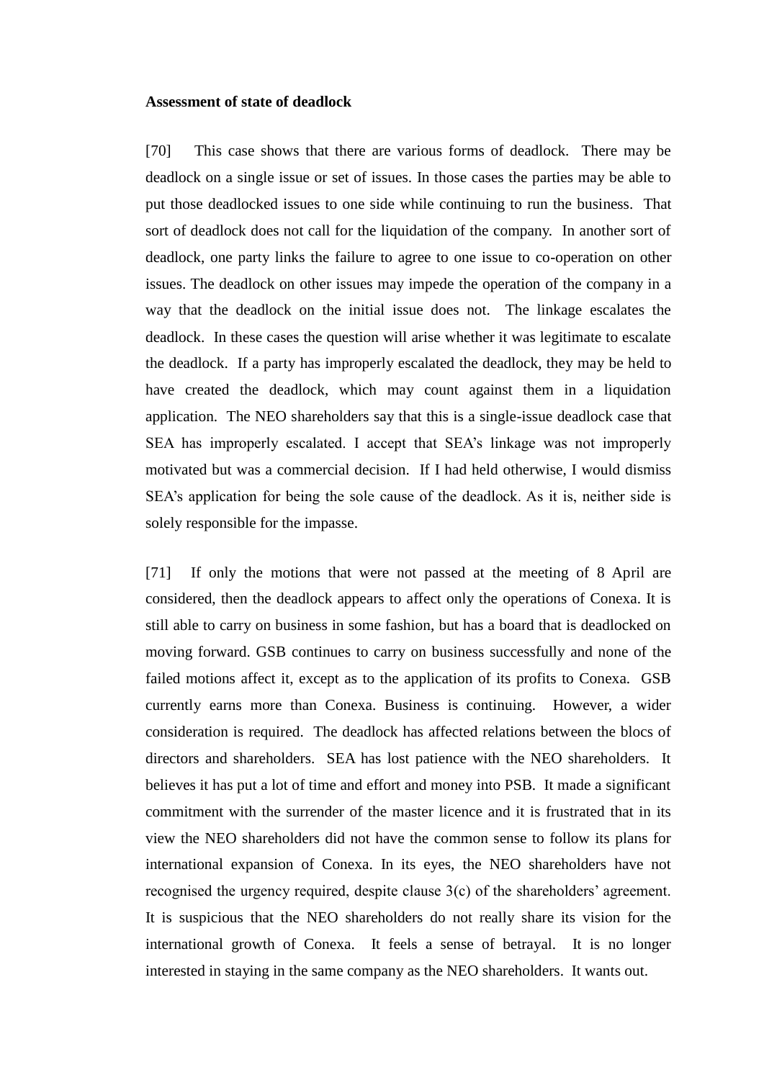## **Assessment of state of deadlock**

[70] This case shows that there are various forms of deadlock. There may be deadlock on a single issue or set of issues. In those cases the parties may be able to put those deadlocked issues to one side while continuing to run the business. That sort of deadlock does not call for the liquidation of the company. In another sort of deadlock, one party links the failure to agree to one issue to co-operation on other issues. The deadlock on other issues may impede the operation of the company in a way that the deadlock on the initial issue does not. The linkage escalates the deadlock. In these cases the question will arise whether it was legitimate to escalate the deadlock. If a party has improperly escalated the deadlock, they may be held to have created the deadlock, which may count against them in a liquidation application. The NEO shareholders say that this is a single-issue deadlock case that SEA has improperly escalated. I accept that SEA's linkage was not improperly motivated but was a commercial decision. If I had held otherwise, I would dismiss SEA"s application for being the sole cause of the deadlock. As it is, neither side is solely responsible for the impasse.

[71] If only the motions that were not passed at the meeting of 8 April are considered, then the deadlock appears to affect only the operations of Conexa. It is still able to carry on business in some fashion, but has a board that is deadlocked on moving forward. GSB continues to carry on business successfully and none of the failed motions affect it, except as to the application of its profits to Conexa. GSB currently earns more than Conexa. Business is continuing. However, a wider consideration is required. The deadlock has affected relations between the blocs of directors and shareholders. SEA has lost patience with the NEO shareholders. It believes it has put a lot of time and effort and money into PSB. It made a significant commitment with the surrender of the master licence and it is frustrated that in its view the NEO shareholders did not have the common sense to follow its plans for international expansion of Conexa. In its eyes, the NEO shareholders have not recognised the urgency required, despite clause 3(c) of the shareholders' agreement. It is suspicious that the NEO shareholders do not really share its vision for the international growth of Conexa. It feels a sense of betrayal. It is no longer interested in staying in the same company as the NEO shareholders. It wants out.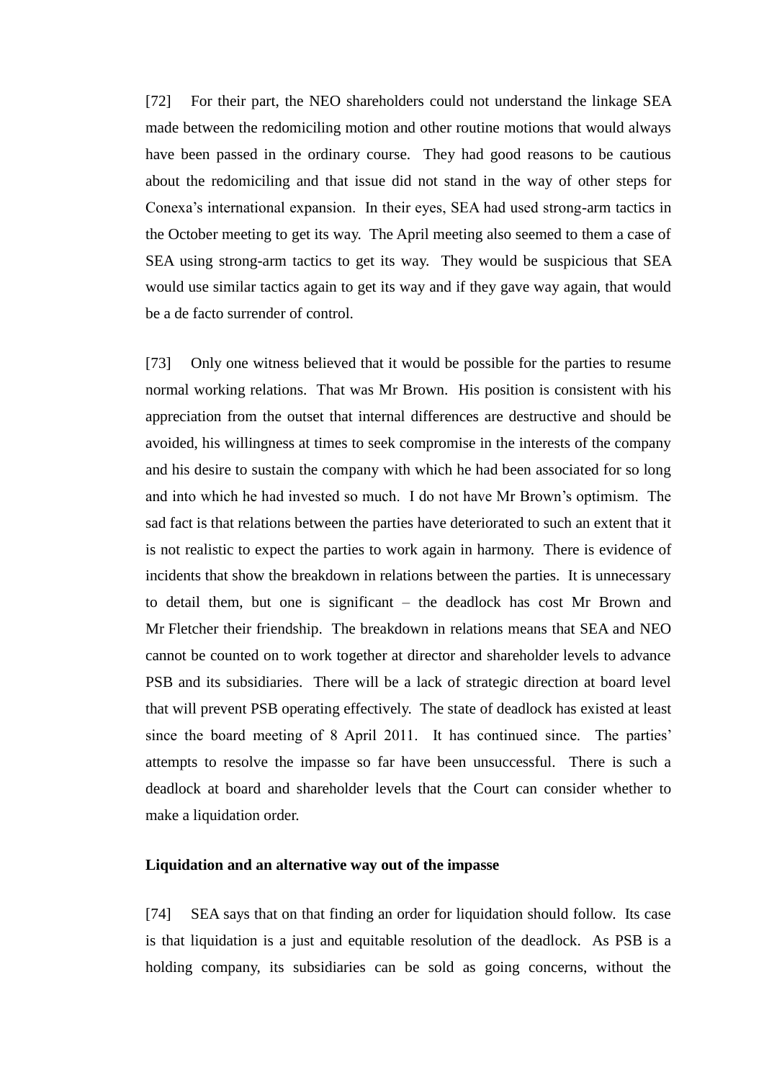[72] For their part, the NEO shareholders could not understand the linkage SEA made between the redomiciling motion and other routine motions that would always have been passed in the ordinary course. They had good reasons to be cautious about the redomiciling and that issue did not stand in the way of other steps for Conexa"s international expansion. In their eyes, SEA had used strong-arm tactics in the October meeting to get its way. The April meeting also seemed to them a case of SEA using strong-arm tactics to get its way. They would be suspicious that SEA would use similar tactics again to get its way and if they gave way again, that would be a de facto surrender of control.

[73] Only one witness believed that it would be possible for the parties to resume normal working relations. That was Mr Brown. His position is consistent with his appreciation from the outset that internal differences are destructive and should be avoided, his willingness at times to seek compromise in the interests of the company and his desire to sustain the company with which he had been associated for so long and into which he had invested so much. I do not have Mr Brown"s optimism. The sad fact is that relations between the parties have deteriorated to such an extent that it is not realistic to expect the parties to work again in harmony. There is evidence of incidents that show the breakdown in relations between the parties. It is unnecessary to detail them, but one is significant – the deadlock has cost Mr Brown and Mr Fletcher their friendship. The breakdown in relations means that SEA and NEO cannot be counted on to work together at director and shareholder levels to advance PSB and its subsidiaries. There will be a lack of strategic direction at board level that will prevent PSB operating effectively. The state of deadlock has existed at least since the board meeting of 8 April 2011. It has continued since. The parties' attempts to resolve the impasse so far have been unsuccessful. There is such a deadlock at board and shareholder levels that the Court can consider whether to make a liquidation order.

## **Liquidation and an alternative way out of the impasse**

[74] SEA says that on that finding an order for liquidation should follow. Its case is that liquidation is a just and equitable resolution of the deadlock. As PSB is a holding company, its subsidiaries can be sold as going concerns, without the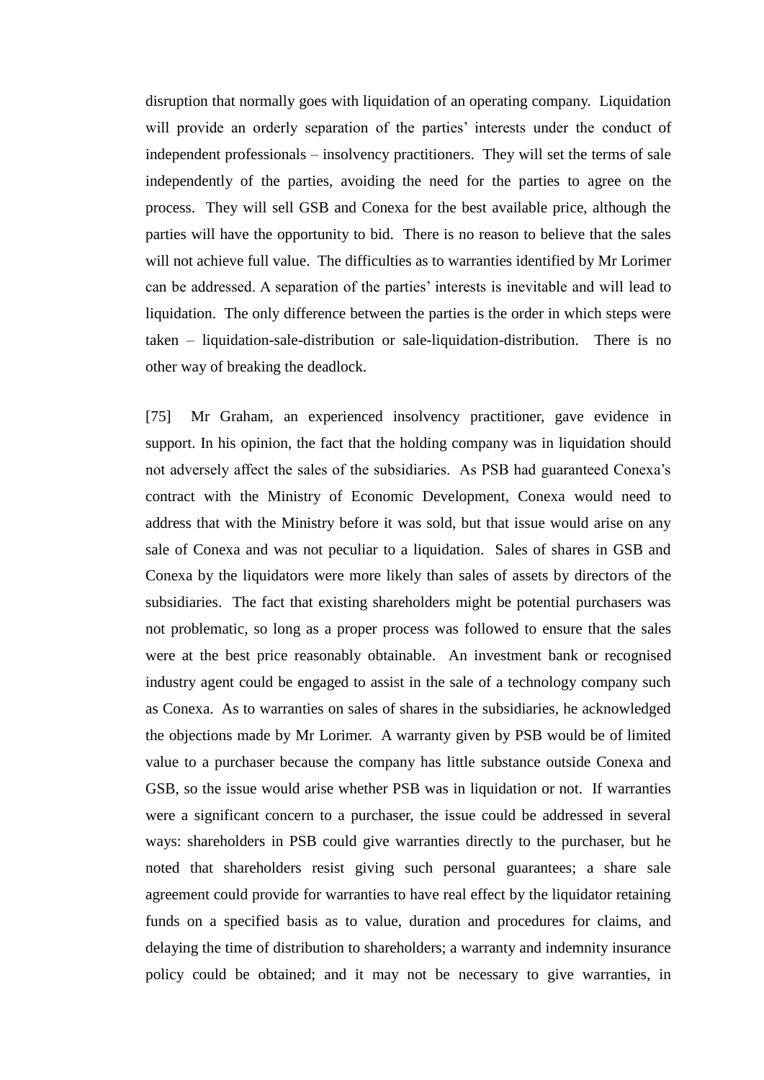disruption that normally goes with liquidation of an operating company. Liquidation will provide an orderly separation of the parties' interests under the conduct of independent professionals – insolvency practitioners. They will set the terms of sale independently of the parties, avoiding the need for the parties to agree on the process. They will sell GSB and Conexa for the best available price, although the parties will have the opportunity to bid. There is no reason to believe that the sales will not achieve full value. The difficulties as to warranties identified by Mr Lorimer can be addressed. A separation of the parties' interests is inevitable and will lead to liquidation. The only difference between the parties is the order in which steps were taken – liquidation-sale-distribution or sale-liquidation-distribution. There is no other way of breaking the deadlock.

[75] Mr Graham, an experienced insolvency practitioner, gave evidence in support. In his opinion, the fact that the holding company was in liquidation should not adversely affect the sales of the subsidiaries. As PSB had guaranteed Conexa"s contract with the Ministry of Economic Development, Conexa would need to address that with the Ministry before it was sold, but that issue would arise on any sale of Conexa and was not peculiar to a liquidation. Sales of shares in GSB and Conexa by the liquidators were more likely than sales of assets by directors of the subsidiaries. The fact that existing shareholders might be potential purchasers was not problematic, so long as a proper process was followed to ensure that the sales were at the best price reasonably obtainable. An investment bank or recognised industry agent could be engaged to assist in the sale of a technology company such as Conexa. As to warranties on sales of shares in the subsidiaries, he acknowledged the objections made by Mr Lorimer. A warranty given by PSB would be of limited value to a purchaser because the company has little substance outside Conexa and GSB, so the issue would arise whether PSB was in liquidation or not. If warranties were a significant concern to a purchaser, the issue could be addressed in several ways: shareholders in PSB could give warranties directly to the purchaser, but he noted that shareholders resist giving such personal guarantees; a share sale agreement could provide for warranties to have real effect by the liquidator retaining funds on a specified basis as to value, duration and procedures for claims, and delaying the time of distribution to shareholders; a warranty and indemnity insurance policy could be obtained; and it may not be necessary to give warranties, in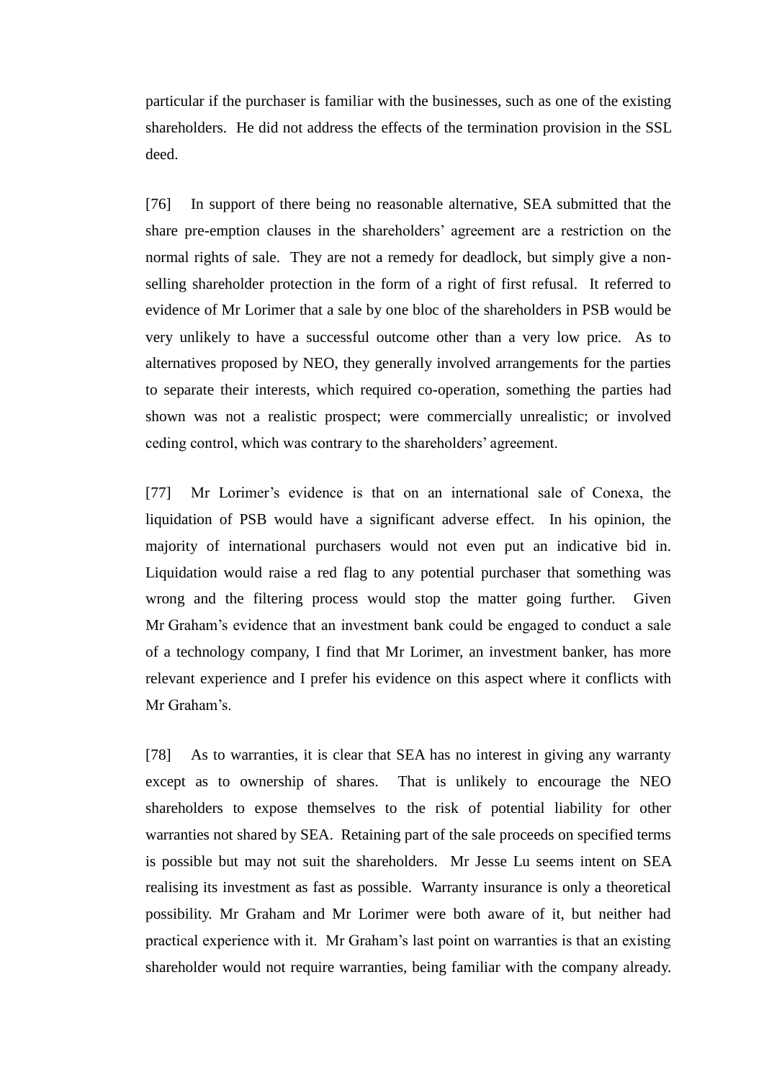particular if the purchaser is familiar with the businesses, such as one of the existing shareholders. He did not address the effects of the termination provision in the SSL deed.

[76] In support of there being no reasonable alternative, SEA submitted that the share pre-emption clauses in the shareholders" agreement are a restriction on the normal rights of sale. They are not a remedy for deadlock, but simply give a nonselling shareholder protection in the form of a right of first refusal. It referred to evidence of Mr Lorimer that a sale by one bloc of the shareholders in PSB would be very unlikely to have a successful outcome other than a very low price. As to alternatives proposed by NEO, they generally involved arrangements for the parties to separate their interests, which required co-operation, something the parties had shown was not a realistic prospect; were commercially unrealistic; or involved ceding control, which was contrary to the shareholders" agreement.

[77] Mr Lorimer"s evidence is that on an international sale of Conexa, the liquidation of PSB would have a significant adverse effect. In his opinion, the majority of international purchasers would not even put an indicative bid in. Liquidation would raise a red flag to any potential purchaser that something was wrong and the filtering process would stop the matter going further. Given Mr Graham"s evidence that an investment bank could be engaged to conduct a sale of a technology company, I find that Mr Lorimer, an investment banker, has more relevant experience and I prefer his evidence on this aspect where it conflicts with Mr Graham's.

[78] As to warranties, it is clear that SEA has no interest in giving any warranty except as to ownership of shares. That is unlikely to encourage the NEO shareholders to expose themselves to the risk of potential liability for other warranties not shared by SEA. Retaining part of the sale proceeds on specified terms is possible but may not suit the shareholders. Mr Jesse Lu seems intent on SEA realising its investment as fast as possible. Warranty insurance is only a theoretical possibility. Mr Graham and Mr Lorimer were both aware of it, but neither had practical experience with it. Mr Graham"s last point on warranties is that an existing shareholder would not require warranties, being familiar with the company already.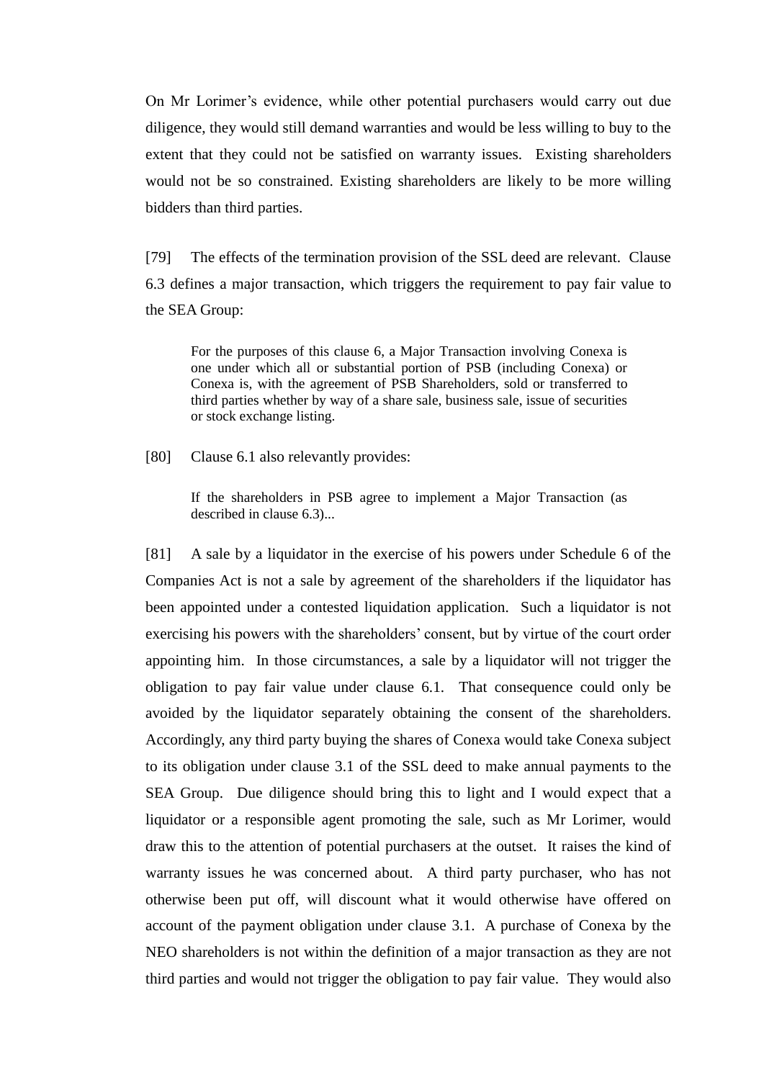On Mr Lorimer's evidence, while other potential purchasers would carry out due diligence, they would still demand warranties and would be less willing to buy to the extent that they could not be satisfied on warranty issues. Existing shareholders would not be so constrained. Existing shareholders are likely to be more willing bidders than third parties.

[79] The effects of the termination provision of the SSL deed are relevant. Clause 6.3 defines a major transaction, which triggers the requirement to pay fair value to the SEA Group:

For the purposes of this clause 6, a Major Transaction involving Conexa is one under which all or substantial portion of PSB (including Conexa) or Conexa is, with the agreement of PSB Shareholders, sold or transferred to third parties whether by way of a share sale, business sale, issue of securities or stock exchange listing.

[80] Clause 6.1 also relevantly provides:

If the shareholders in PSB agree to implement a Major Transaction (as described in clause 6.3)...

[81] A sale by a liquidator in the exercise of his powers under Schedule 6 of the Companies Act is not a sale by agreement of the shareholders if the liquidator has been appointed under a contested liquidation application. Such a liquidator is not exercising his powers with the shareholders' consent, but by virtue of the court order appointing him. In those circumstances, a sale by a liquidator will not trigger the obligation to pay fair value under clause 6.1. That consequence could only be avoided by the liquidator separately obtaining the consent of the shareholders. Accordingly, any third party buying the shares of Conexa would take Conexa subject to its obligation under clause 3.1 of the SSL deed to make annual payments to the SEA Group. Due diligence should bring this to light and I would expect that a liquidator or a responsible agent promoting the sale, such as Mr Lorimer, would draw this to the attention of potential purchasers at the outset. It raises the kind of warranty issues he was concerned about. A third party purchaser, who has not otherwise been put off, will discount what it would otherwise have offered on account of the payment obligation under clause 3.1. A purchase of Conexa by the NEO shareholders is not within the definition of a major transaction as they are not third parties and would not trigger the obligation to pay fair value. They would also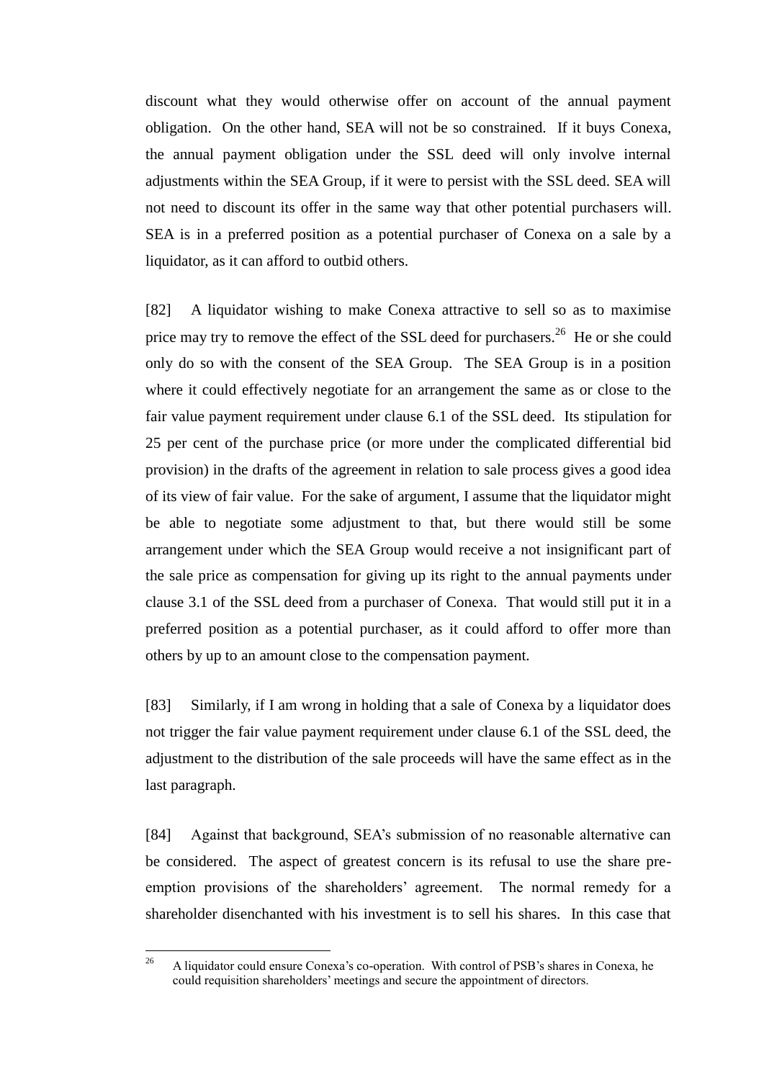discount what they would otherwise offer on account of the annual payment obligation. On the other hand, SEA will not be so constrained. If it buys Conexa, the annual payment obligation under the SSL deed will only involve internal adjustments within the SEA Group, if it were to persist with the SSL deed. SEA will not need to discount its offer in the same way that other potential purchasers will. SEA is in a preferred position as a potential purchaser of Conexa on a sale by a liquidator, as it can afford to outbid others.

[82] A liquidator wishing to make Conexa attractive to sell so as to maximise price may try to remove the effect of the SSL deed for purchasers.<sup>26</sup> He or she could only do so with the consent of the SEA Group. The SEA Group is in a position where it could effectively negotiate for an arrangement the same as or close to the fair value payment requirement under clause 6.1 of the SSL deed. Its stipulation for 25 per cent of the purchase price (or more under the complicated differential bid provision) in the drafts of the agreement in relation to sale process gives a good idea of its view of fair value. For the sake of argument, I assume that the liquidator might be able to negotiate some adjustment to that, but there would still be some arrangement under which the SEA Group would receive a not insignificant part of the sale price as compensation for giving up its right to the annual payments under clause 3.1 of the SSL deed from a purchaser of Conexa. That would still put it in a preferred position as a potential purchaser, as it could afford to offer more than others by up to an amount close to the compensation payment.

[83] Similarly, if I am wrong in holding that a sale of Conexa by a liquidator does not trigger the fair value payment requirement under clause 6.1 of the SSL deed, the adjustment to the distribution of the sale proceeds will have the same effect as in the last paragraph.

[84] Against that background, SEA"s submission of no reasonable alternative can be considered. The aspect of greatest concern is its refusal to use the share preemption provisions of the shareholders' agreement. The normal remedy for a shareholder disenchanted with his investment is to sell his shares. In this case that

 $26$ A liquidator could ensure Conexa's co-operation. With control of PSB's shares in Conexa, he could requisition shareholders' meetings and secure the appointment of directors.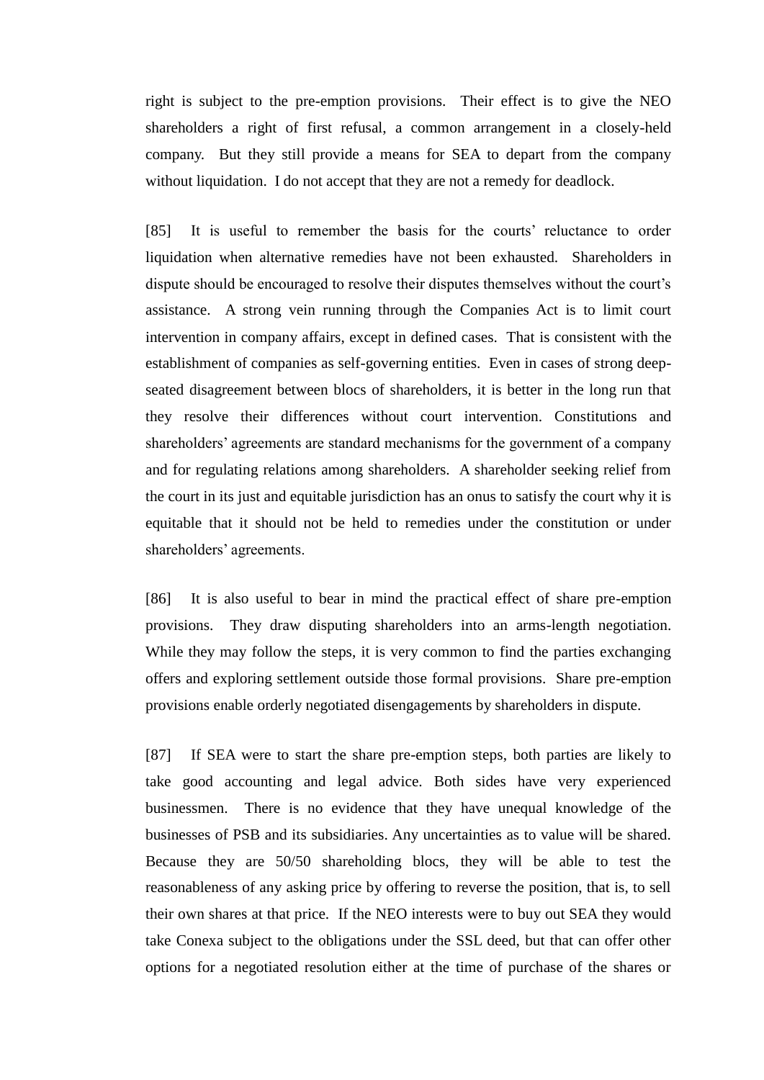right is subject to the pre-emption provisions. Their effect is to give the NEO shareholders a right of first refusal, a common arrangement in a closely-held company. But they still provide a means for SEA to depart from the company without liquidation. I do not accept that they are not a remedy for deadlock.

[85] It is useful to remember the basis for the courts' reluctance to order liquidation when alternative remedies have not been exhausted. Shareholders in dispute should be encouraged to resolve their disputes themselves without the court"s assistance. A strong vein running through the Companies Act is to limit court intervention in company affairs, except in defined cases. That is consistent with the establishment of companies as self-governing entities. Even in cases of strong deepseated disagreement between blocs of shareholders, it is better in the long run that they resolve their differences without court intervention. Constitutions and shareholders' agreements are standard mechanisms for the government of a company and for regulating relations among shareholders. A shareholder seeking relief from the court in its just and equitable jurisdiction has an onus to satisfy the court why it is equitable that it should not be held to remedies under the constitution or under shareholders' agreements.

[86] It is also useful to bear in mind the practical effect of share pre-emption provisions. They draw disputing shareholders into an arms-length negotiation. While they may follow the steps, it is very common to find the parties exchanging offers and exploring settlement outside those formal provisions. Share pre-emption provisions enable orderly negotiated disengagements by shareholders in dispute.

[87] If SEA were to start the share pre-emption steps, both parties are likely to take good accounting and legal advice. Both sides have very experienced businessmen. There is no evidence that they have unequal knowledge of the businesses of PSB and its subsidiaries. Any uncertainties as to value will be shared. Because they are 50/50 shareholding blocs, they will be able to test the reasonableness of any asking price by offering to reverse the position, that is, to sell their own shares at that price. If the NEO interests were to buy out SEA they would take Conexa subject to the obligations under the SSL deed, but that can offer other options for a negotiated resolution either at the time of purchase of the shares or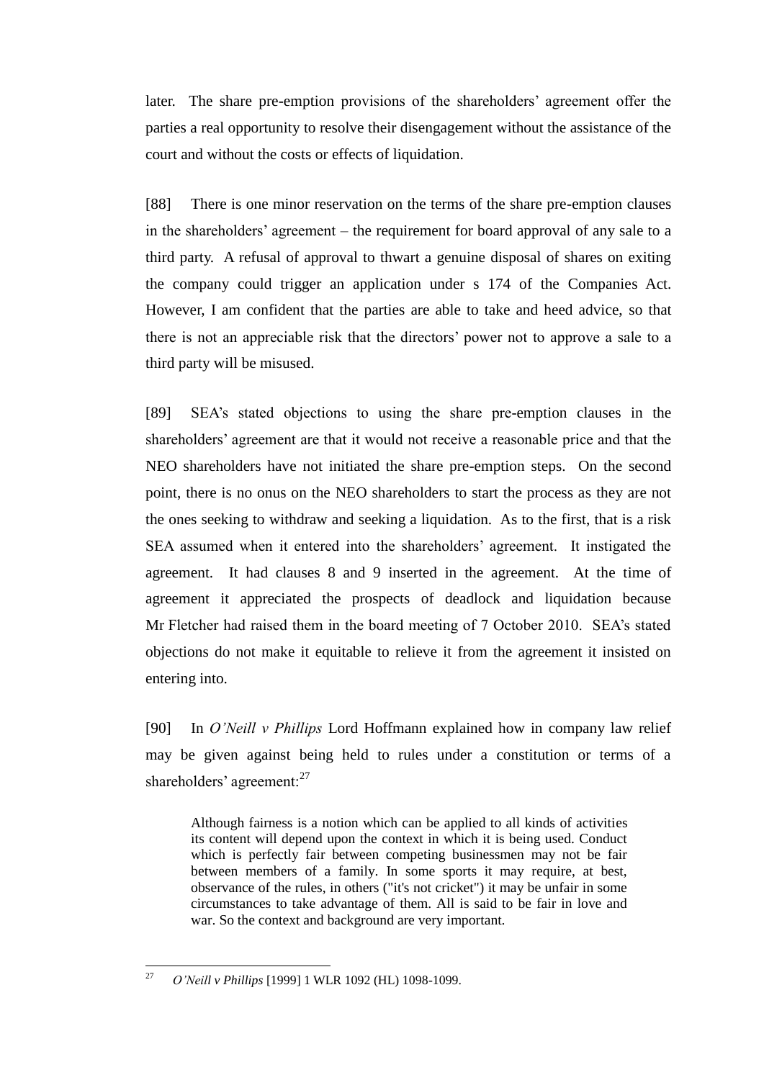later. The share pre-emption provisions of the shareholders' agreement offer the parties a real opportunity to resolve their disengagement without the assistance of the court and without the costs or effects of liquidation.

[88] There is one minor reservation on the terms of the share pre-emption clauses in the shareholders" agreement – the requirement for board approval of any sale to a third party. A refusal of approval to thwart a genuine disposal of shares on exiting the company could trigger an application under s 174 of the Companies Act. However, I am confident that the parties are able to take and heed advice, so that there is not an appreciable risk that the directors" power not to approve a sale to a third party will be misused.

[89] SEA's stated objections to using the share pre-emption clauses in the shareholders" agreement are that it would not receive a reasonable price and that the NEO shareholders have not initiated the share pre-emption steps. On the second point, there is no onus on the NEO shareholders to start the process as they are not the ones seeking to withdraw and seeking a liquidation. As to the first, that is a risk SEA assumed when it entered into the shareholders' agreement. It instigated the agreement. It had clauses 8 and 9 inserted in the agreement. At the time of agreement it appreciated the prospects of deadlock and liquidation because Mr Fletcher had raised them in the board meeting of 7 October 2010. SEA"s stated objections do not make it equitable to relieve it from the agreement it insisted on entering into.

[90] In *O'Neill v Phillips* Lord Hoffmann explained how in company law relief may be given against being held to rules under a constitution or terms of a shareholders' agreement: $27$ 

Although fairness is a notion which can be applied to all kinds of activities its content will depend upon the context in which it is being used. Conduct which is perfectly fair between competing businessmen may not be fair between members of a family. In some sports it may require, at best, observance of the rules, in others ("it's not cricket") it may be unfair in some circumstances to take advantage of them. All is said to be fair in love and war. So the context and background are very important.

<sup>27</sup> <sup>27</sup> *O'Neill v Phillips* [1999] 1 WLR 1092 (HL) 1098-1099.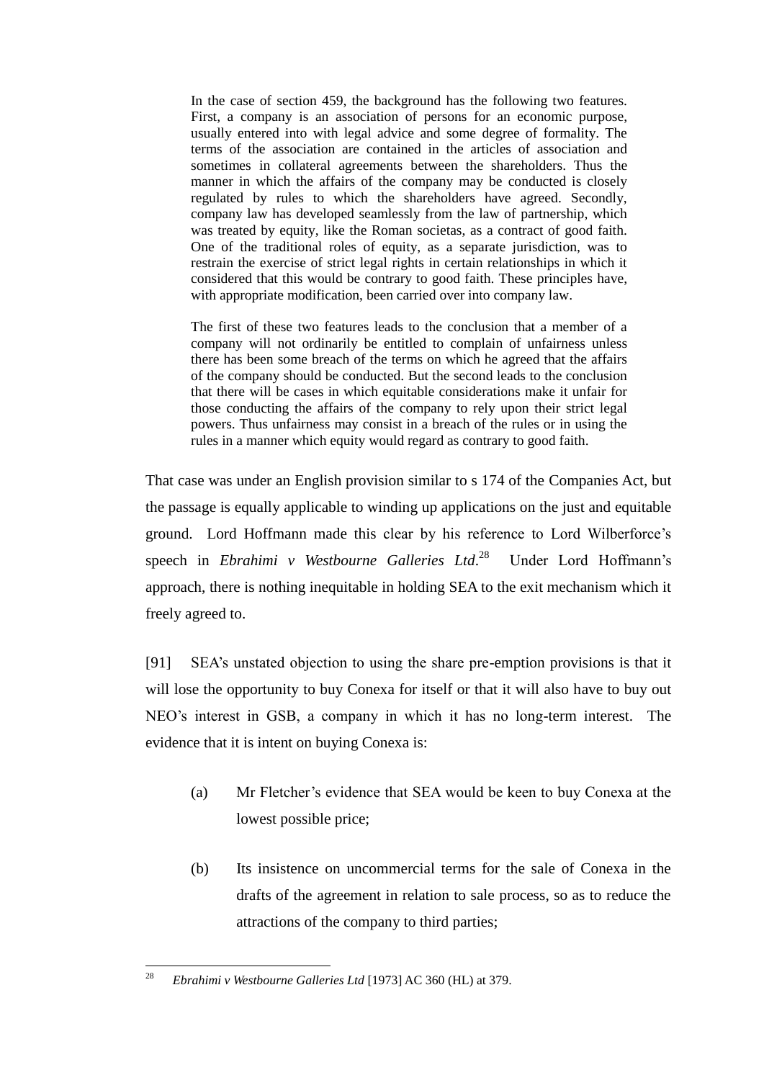In the case of section 459, the background has the following two features. First, a company is an association of persons for an economic purpose, usually entered into with legal advice and some degree of formality. The terms of the association are contained in the articles of association and sometimes in collateral agreements between the shareholders. Thus the manner in which the affairs of the company may be conducted is closely regulated by rules to which the shareholders have agreed. Secondly, company law has developed seamlessly from the law of partnership, which was treated by equity, like the Roman societas, as a contract of good faith. One of the traditional roles of equity, as a separate jurisdiction, was to restrain the exercise of strict legal rights in certain relationships in which it considered that this would be contrary to good faith. These principles have, with appropriate modification, been carried over into company law.

The first of these two features leads to the conclusion that a member of a company will not ordinarily be entitled to complain of unfairness unless there has been some breach of the terms on which he agreed that the affairs of the company should be conducted. But the second leads to the conclusion that there will be cases in which equitable considerations make it unfair for those conducting the affairs of the company to rely upon their strict legal powers. Thus unfairness may consist in a breach of the rules or in using the rules in a manner which equity would regard as contrary to good faith.

That case was under an English provision similar to s 174 of the Companies Act, but the passage is equally applicable to winding up applications on the just and equitable ground. Lord Hoffmann made this clear by his reference to Lord Wilberforce"s speech in *Ebrahimi v Westbourne Galleries Ltd*.<sup>28</sup> Under Lord Hoffmann's approach, there is nothing inequitable in holding SEA to the exit mechanism which it freely agreed to.

[91] SEA's unstated objection to using the share pre-emption provisions is that it will lose the opportunity to buy Conexa for itself or that it will also have to buy out NEO"s interest in GSB, a company in which it has no long-term interest. The evidence that it is intent on buying Conexa is:

- (a) Mr Fletcher"s evidence that SEA would be keen to buy Conexa at the lowest possible price;
- (b) Its insistence on uncommercial terms for the sale of Conexa in the drafts of the agreement in relation to sale process, so as to reduce the attractions of the company to third parties;

<sup>28</sup> <sup>28</sup> *Ebrahimi v Westbourne Galleries Ltd* [1973] AC 360 (HL) at 379.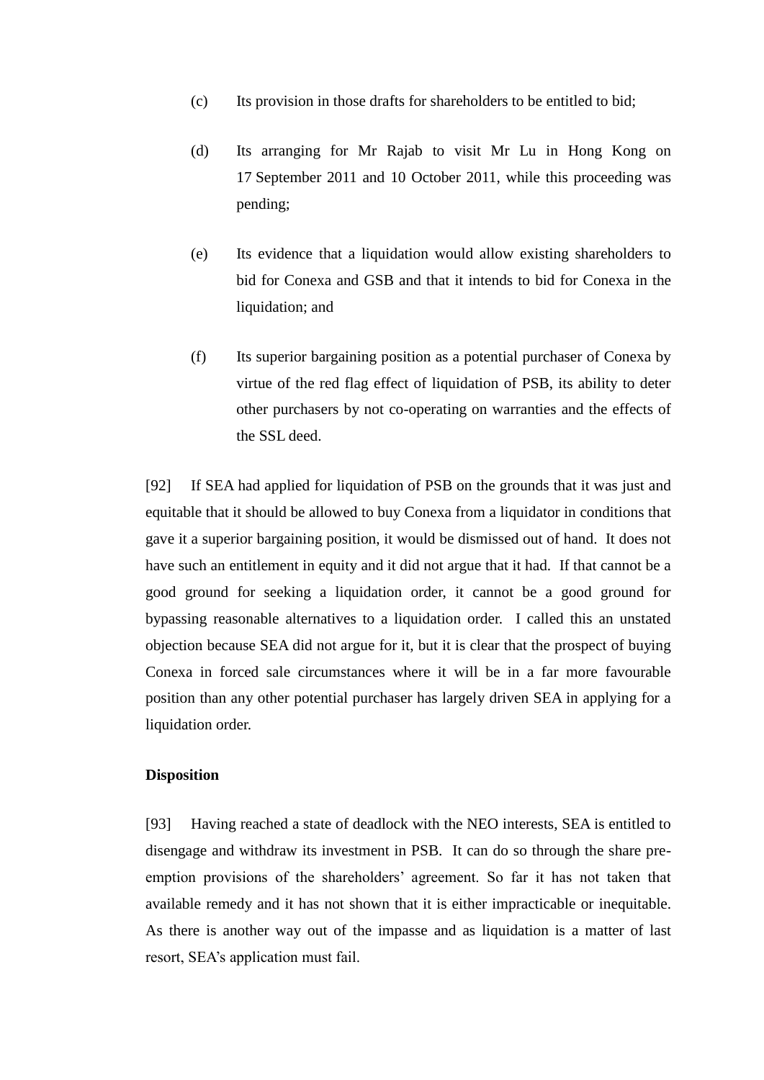- (c) Its provision in those drafts for shareholders to be entitled to bid;
- (d) Its arranging for Mr Rajab to visit Mr Lu in Hong Kong on 17 September 2011 and 10 October 2011, while this proceeding was pending;
- (e) Its evidence that a liquidation would allow existing shareholders to bid for Conexa and GSB and that it intends to bid for Conexa in the liquidation; and
- (f) Its superior bargaining position as a potential purchaser of Conexa by virtue of the red flag effect of liquidation of PSB, its ability to deter other purchasers by not co-operating on warranties and the effects of the SSL deed.

[92] If SEA had applied for liquidation of PSB on the grounds that it was just and equitable that it should be allowed to buy Conexa from a liquidator in conditions that gave it a superior bargaining position, it would be dismissed out of hand. It does not have such an entitlement in equity and it did not argue that it had. If that cannot be a good ground for seeking a liquidation order, it cannot be a good ground for bypassing reasonable alternatives to a liquidation order. I called this an unstated objection because SEA did not argue for it, but it is clear that the prospect of buying Conexa in forced sale circumstances where it will be in a far more favourable position than any other potential purchaser has largely driven SEA in applying for a liquidation order.

#### **Disposition**

[93] Having reached a state of deadlock with the NEO interests, SEA is entitled to disengage and withdraw its investment in PSB. It can do so through the share preemption provisions of the shareholders" agreement. So far it has not taken that available remedy and it has not shown that it is either impracticable or inequitable. As there is another way out of the impasse and as liquidation is a matter of last resort, SEA's application must fail.